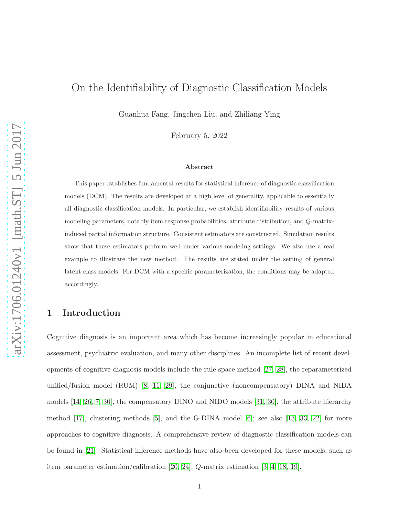# On the Identifiability of Diagnostic Classification Models

Guanhua Fang, Jingchen Liu, and Zhiliang Ying

February 5, 2022

#### Abstract

This paper establishes fundamental results for statistical inference of diagnostic classification models (DCM). The results are developed at a high level of generality, applicable to essentially all diagnostic classification models. In particular, we establish identifiability results of various modeling parameters, notably item response probabilities, attribute distribution, and Q-matrixinduced partial information structure. Consistent estimators are constructed. Simulation results show that these estimators perform well under various modeling settings. We also use a real example to illustrate the new method. The results are stated under the setting of general latent class models. For DCM with a specific parameterization, the conditions may be adapted accordingly.

# 1 Introduction

Cognitive diagnosis is an important area which has become increasingly popular in educational assessment, psychiatric evaluation, and many other disciplines. An incomplete list of recent developments of cognitive diagnosis models include the rule space method [\[27,](#page-32-0) [28\]](#page-32-1), the reparameterized unified/fusion model (RUM) [\[8,](#page-30-0) [11,](#page-31-0) [29\]](#page-32-2), the conjunctive (noncompensatory) DINA and NIDA models [\[14,](#page-31-1) [26,](#page-32-3) [7,](#page-30-1) [30\]](#page-33-0), the compensatory DINO and NIDO models [\[31,](#page-33-1) [30\]](#page-33-0), the attribute hierarchy method  $[17]$ , clustering methods  $[5]$ , and the G-DINA model  $[6]$ ; see also  $[13, 33, 22]$  $[13, 33, 22]$  $[13, 33, 22]$  for more approaches to cognitive diagnosis. A comprehensive review of diagnostic classification models can be found in [\[21\]](#page-32-5). Statistical inference methods have also been developed for these models, such as item parameter estimation/calibration [\[20,](#page-32-6) [24\]](#page-32-7), Q-matrix estimation [\[3,](#page-30-4) [4,](#page-30-5) [18,](#page-31-4) [19\]](#page-32-8).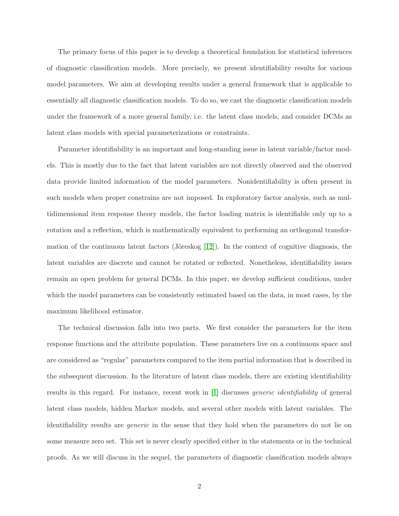The primary focus of this paper is to develop a theoretical foundation for statistical inferences of diagnostic classification models. More precisely, we present identifiability results for various model parameters. We aim at developing results under a general framework that is applicable to essentially all diagnostic classification models. To do so, we cast the diagnostic classification models under the framework of a more general family, i.e. the latent class models, and consider DCMs as latent class models with special parameterizations or constraints.

Parameter identifiability is an important and long-standing issue in latent variable/factor models. This is mostly due to the fact that latent variables are not directly observed and the observed data provide limited information of the model parameters. Nonidentifiability is often present in such models when proper constrains are not imposed. In exploratory factor analysis, such as multidimensional item response theory models, the factor loading matrix is identifiable only up to a rotation and a reflection, which is mathematically equivalent to performing an orthogonal transformation of the continuous latent factors (Jöreskog  $[12]$ ). In the context of cognitive diagnosis, the latent variables are discrete and cannot be rotated or reflected. Nonetheless, identifiability issues remain an open problem for general DCMs. In this paper, we develop sufficient conditions, under which the model parameters can be consistently estimated based on the data, in most cases, by the maximum likelihood estimator.

The technical discussion falls into two parts. We first consider the parameters for the item response functions and the attribute population. These parameters live on a continuous space and are considered as "regular" parameters compared to the item partial information that is described in the subsequent discussion. In the literature of latent class models, there are existing identifiability results in this regard. For instance, recent work in [\[1\]](#page-30-6) discusses *generic identifiability* of general latent class models, hidden Markov models, and several other models with latent variables. The identifiability results are *generic* in the sense that they hold when the parameters do not lie on some measure zero set. This set is never clearly specified either in the statements or in the technical proofs. As we will discuss in the sequel, the parameters of diagnostic classification models always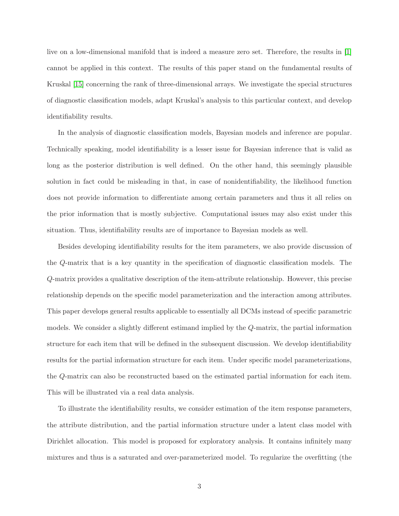live on a low-dimensional manifold that is indeed a measure zero set. Therefore, the results in [\[1\]](#page-30-6) cannot be applied in this context. The results of this paper stand on the fundamental results of Kruskal [\[15\]](#page-31-6) concerning the rank of three-dimensional arrays. We investigate the special structures of diagnostic classification models, adapt Kruskal's analysis to this particular context, and develop identifiability results.

In the analysis of diagnostic classification models, Bayesian models and inference are popular. Technically speaking, model identifiability is a lesser issue for Bayesian inference that is valid as long as the posterior distribution is well defined. On the other hand, this seemingly plausible solution in fact could be misleading in that, in case of nonidentifiability, the likelihood function does not provide information to differentiate among certain parameters and thus it all relies on the prior information that is mostly subjective. Computational issues may also exist under this situation. Thus, identifiability results are of importance to Bayesian models as well.

Besides developing identifiability results for the item parameters, we also provide discussion of the Q-matrix that is a key quantity in the specification of diagnostic classification models. The Q-matrix provides a qualitative description of the item-attribute relationship. However, this precise relationship depends on the specific model parameterization and the interaction among attributes. This paper develops general results applicable to essentially all DCMs instead of specific parametric models. We consider a slightly different estimand implied by the Q-matrix, the partial information structure for each item that will be defined in the subsequent discussion. We develop identifiability results for the partial information structure for each item. Under specific model parameterizations, the Q-matrix can also be reconstructed based on the estimated partial information for each item. This will be illustrated via a real data analysis.

To illustrate the identifiability results, we consider estimation of the item response parameters, the attribute distribution, and the partial information structure under a latent class model with Dirichlet allocation. This model is proposed for exploratory analysis. It contains infinitely many mixtures and thus is a saturated and over-parameterized model. To regularize the overfitting (the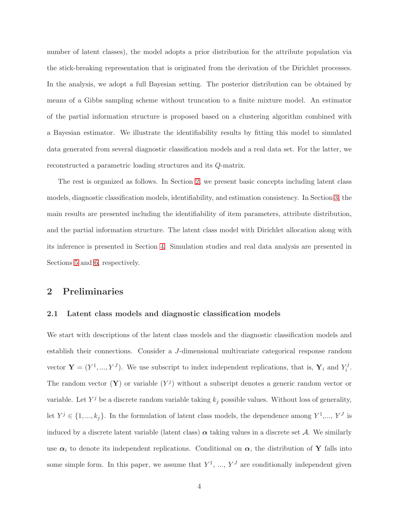number of latent classes), the model adopts a prior distribution for the attribute population via the stick-breaking representation that is originated from the derivation of the Dirichlet processes. In the analysis, we adopt a full Bayesian setting. The posterior distribution can be obtained by means of a Gibbs sampling scheme without truncation to a finite mixture model. An estimator of the partial information structure is proposed based on a clustering algorithm combined with a Bayesian estimator. We illustrate the identifiability results by fitting this model to simulated data generated from several diagnostic classification models and a real data set. For the latter, we reconstructed a parametric loading structures and its Q-matrix.

The rest is organized as follows. In Section [2,](#page-3-0) we present basic concepts including latent class models, diagnostic classification models, identifiability, and estimation consistency. In Section [3,](#page-9-0) the main results are presented including the identifiability of item parameters, attribute distribution, and the partial information structure. The latent class model with Dirichlet allocation along with its inference is presented in Section [4.](#page-15-0) Simulation studies and real data analysis are presented in Sections [5](#page-17-0) and [6,](#page-24-0) respectively.

# <span id="page-3-1"></span><span id="page-3-0"></span>2 Preliminaries

#### 2.1 Latent class models and diagnostic classification models

We start with descriptions of the latent class models and the diagnostic classification models and establish their connections. Consider a J-dimensional multivariate categorical response random vector  $\mathbf{Y} = (Y^1, ..., Y^J)$ . We use subscript to index independent replications, that is,  $\mathbf{Y}_i$  and  $Y_i^j$  $\frac{f}{i}$ . The random vector  $(Y)$  or variable  $(Y^j)$  without a subscript denotes a generic random vector or variable. Let  $Y^j$  be a discrete random variable taking  $k_j$  possible values. Without loss of generality, let  $Y^j \in \{1, ..., k_j\}$ . In the formulation of latent class models, the dependence among  $Y^1, ..., Y^J$  is induced by a discrete latent variable (latent class)  $\alpha$  taking values in a discrete set A. We similarly use  $\alpha_i$  to denote its independent replications. Conditional on  $\alpha$ , the distribution of Y falls into some simple form. In this paper, we assume that  $Y^1, ..., Y^J$  are conditionally independent given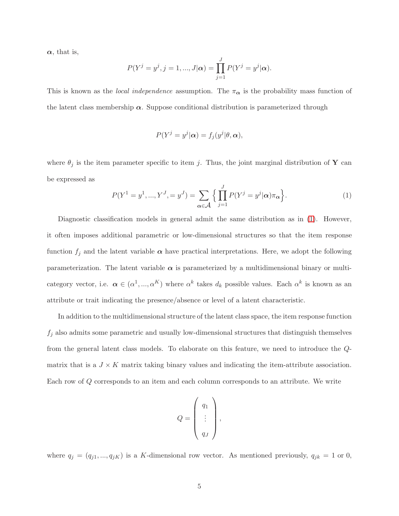$\alpha$ , that is,

$$
P(Y^{j} = y^{j}, j = 1, ..., J|\alpha) = \prod_{j=1}^{J} P(Y^{j} = y^{j}|\alpha).
$$

This is known as the *local independence* assumption. The  $\pi_{\alpha}$  is the probability mass function of the latent class membership  $\alpha$ . Suppose conditional distribution is parameterized through

$$
P(Y^j = y^j | \boldsymbol{\alpha}) = f_j(y^j | \theta, \boldsymbol{\alpha}),
$$

where  $\theta_j$  is the item parameter specific to item j. Thus, the joint marginal distribution of Y can be expressed as

<span id="page-4-0"></span>
$$
P(Y^{1} = y^{1}, ..., Y^{J}, = y^{J}) = \sum_{\alpha \in \mathcal{A}} \left\{ \prod_{j=1}^{J} P(Y^{j} = y^{j} | \alpha) \pi_{\alpha} \right\}.
$$
 (1)

Diagnostic classification models in general admit the same distribution as in  $(1)$ . However, it often imposes additional parametric or low-dimensional structures so that the item response function  $f_j$  and the latent variable  $\alpha$  have practical interpretations. Here, we adopt the following parameterization. The latent variable  $\alpha$  is parameterized by a multidimensional binary or multicategory vector, i.e.  $\alpha \in (\alpha^1, ..., \alpha^K)$  where  $\alpha^k$  takes  $d_k$  possible values. Each  $\alpha^k$  is known as an attribute or trait indicating the presence/absence or level of a latent characteristic.

In addition to the multidimensional structure of the latent class space, the item response function  $f_j$  also admits some parametric and usually low-dimensional structures that distinguish themselves from the general latent class models. To elaborate on this feature, we need to introduce the Qmatrix that is a  $J \times K$  matrix taking binary values and indicating the item-attribute association. Each row of Q corresponds to an item and each column corresponds to an attribute. We write

$$
Q = \left(\begin{array}{c} q_1 \\ \vdots \\ q_J \end{array}\right),
$$

where  $q_j = (q_{j1}, ..., q_{jK})$  is a K-dimensional row vector. As mentioned previously,  $q_{jk} = 1$  or 0,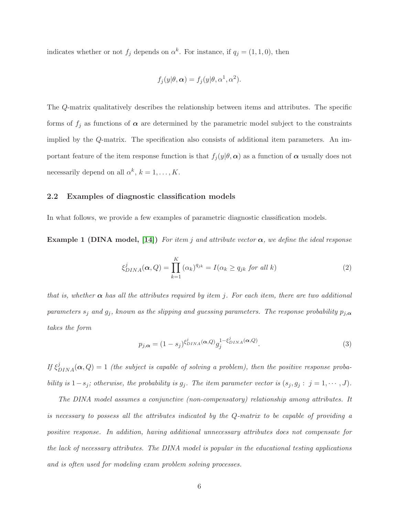indicates whether or not  $f_j$  depends on  $\alpha^k$ . For instance, if  $q_j = (1, 1, 0)$ , then

$$
f_j(y|\theta,\alpha) = f_j(y|\theta,\alpha^1,\alpha^2).
$$

The Q-matrix qualitatively describes the relationship between items and attributes. The specific forms of  $f_j$  as functions of  $\alpha$  are determined by the parametric model subject to the constraints implied by the Q-matrix. The specification also consists of additional item parameters. An important feature of the item response function is that  $f_j(y|\theta, \alpha)$  as a function of  $\alpha$  usually does not necessarily depend on all  $\alpha^k$ ,  $k = 1, \ldots, K$ .

### 2.2 Examples of diagnostic classification models

In what follows, we provide a few examples of parametric diagnostic classification models.

Example 1 (DINA model, [\[14\]](#page-31-1)) *For item* j *and attribute vector* α*, we define the ideal response*

$$
\xi_{DINA}^{j}(\boldsymbol{\alpha}, Q) = \prod_{k=1}^{K} (\alpha_k)^{q_{jk}} = I(\alpha_k \ge q_{jk} \text{ for all } k)
$$
\n(2)

*that is, whether*  $\alpha$  *has all the attributes required by item j. For each item, there are two additional parameters*  $s_j$  *and*  $g_j$ , *known as the slipping and guessing parameters. The response probability*  $p_{j,\alpha}$ *takes the form*

$$
p_{j,\alpha} = (1 - s_j)^{\xi_{DINA}^j(\alpha,Q)} g_j^{1 - \xi_{DINA}^j(\alpha,Q)}.
$$
\n(3)

*If*  $\xi_{DINA}^{j}(\boldsymbol{\alpha}, Q) = 1$  *(the subject is capable of solving a problem), then the positive response probability is*  $1-s_j$ *; otherwise, the probability is*  $g_j$ *. The item parameter vector is*  $(s_j, g_j : j = 1, \dots, J)$ *.* 

*The DINA model assumes a conjunctive (non-compensatory) relationship among attributes. It is necessary to possess all the attributes indicated by the* Q*-matrix to be capable of providing a positive response. In addition, having additional unnecessary attributes does not compensate for the lack of necessary attributes. The DINA model is popular in the educational testing applications and is often used for modeling exam problem solving processes.*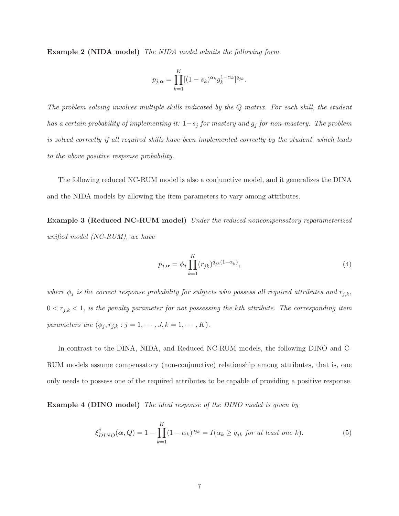Example 2 (NIDA model) *The NIDA model admits the following form*

$$
p_{j,\alpha} = \prod_{k=1}^K [(1 - s_k)^{\alpha_k} g_k^{1 - \alpha_k}]^{q_{jk}}.
$$

*The problem solving involves multiple skills indicated by the* Q*-matrix. For each skill, the student has a certain probability of implementing it:* 1−s<sup>j</sup> *for mastery and* g<sup>j</sup> *for non-mastery. The problem is solved correctly if all required skills have been implemented correctly by the student, which leads to the above positive response probability.*

The following reduced NC-RUM model is also a conjunctive model, and it generalizes the DINA and the NIDA models by allowing the item parameters to vary among attributes.

Example 3 (Reduced NC-RUM model) *Under the reduced noncompensatory reparameterized unified model (NC-RUM), we have*

$$
p_{j,\alpha} = \phi_j \prod_{k=1}^{K} (r_{jk})^{q_{jk}(1-\alpha_k)}, \qquad (4)
$$

*where*  $\phi_j$  *is the correct response probability for subjects who possess all required attributes and*  $r_{j,k}$ ,  $0 < r_{j,k} < 1$ , is the penalty parameter for not possessing the kth attribute. The corresponding item *parameters are*  $(\phi_j, r_{j,k} : j = 1, \cdots, J, k = 1, \cdots, K)$ .

In contrast to the DINA, NIDA, and Reduced NC-RUM models, the following DINO and C-RUM models assume compensatory (non-conjunctive) relationship among attributes, that is, one only needs to possess one of the required attributes to be capable of providing a positive response.

Example 4 (DINO model) *The ideal response of the DINO model is given by*

$$
\xi_{DINO}^{j}(\boldsymbol{\alpha},Q) = 1 - \prod_{k=1}^{K} (1 - \alpha_k)^{q_{jk}} = I(\alpha_k \ge q_{jk} \text{ for at least one } k). \tag{5}
$$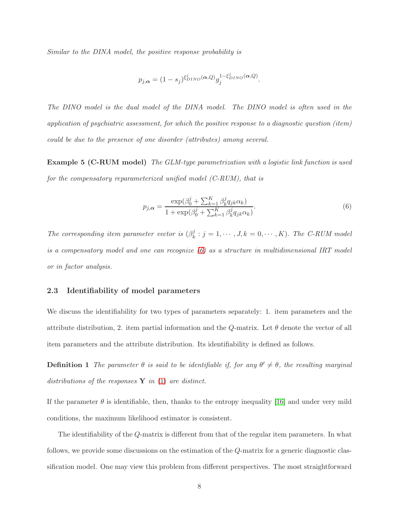*Similar to the DINA model, the positive response probability is*

$$
p_{j,\alpha} = (1 - s_j)^{\xi_{DINO}^j(\alpha,Q)} g_j^{1 - \xi_{DINO}^j(\alpha,Q)}.
$$

*The DINO model is the dual model of the DINA model. The DINO model is often used in the application of psychiatric assessment, for which the positive response to a diagnostic question (item) could be due to the presence of one disorder (attributes) among several.*

Example 5 (C-RUM model) *The GLM-type parametrization with a logistic link function is used for the compensatory reparameterized unified model (C-RUM), that is*

<span id="page-7-0"></span>
$$
p_{j,\alpha} = \frac{\exp(\beta_0^j + \sum_{k=1}^K \beta_k^j q_{jk}\alpha_k)}{1 + \exp(\beta_0^j + \sum_{k=1}^K \beta_k^j q_{jk}\alpha_k)}.
$$
 (6)

*The corresponding item parameter vector is*  $(\beta_k^j)$  $k: j = 1, \cdots, J, k = 0, \cdots, K$ . *The C-RUM model is a compensatory model and one can recognize [\(6\)](#page-7-0) as a structure in multidimensional IRT model or in factor analysis.*

#### 2.3 Identifiability of model parameters

We discuss the identifiability for two types of parameters separately: 1. item parameters and the attribute distribution, 2. item partial information and the Q-matrix. Let  $\theta$  denote the vector of all item parameters and the attribute distribution. Its identifiability is defined as follows.

**Definition 1** The parameter  $\theta$  is said to be identifiable if, for any  $\theta' \neq \theta$ , the resulting marginal *distributions of the responses* Y *in* [\(1\)](#page-4-0) *are distinct.*

If the parameter  $\theta$  is identifiable, then, thanks to the entropy inequality [\[16\]](#page-31-7) and under very mild conditions, the maximum likelihood estimator is consistent.

The identifiability of the Q-matrix is different from that of the regular item parameters. In what follows, we provide some discussions on the estimation of the Q-matrix for a generic diagnostic classification model. One may view this problem from different perspectives. The most straightforward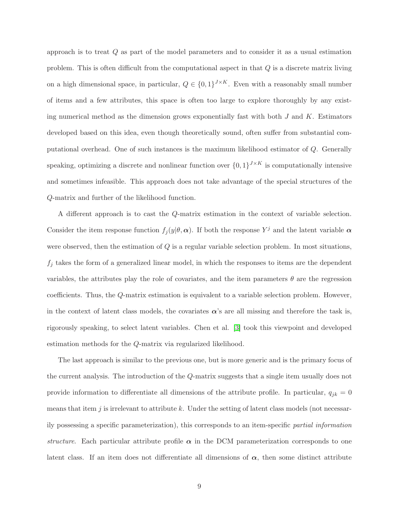approach is to treat Q as part of the model parameters and to consider it as a usual estimation problem. This is often difficult from the computational aspect in that Q is a discrete matrix living on a high dimensional space, in particular,  $Q \in \{0,1\}^{J \times K}$ . Even with a reasonably small number of items and a few attributes, this space is often too large to explore thoroughly by any existing numerical method as the dimension grows exponentially fast with both  $J$  and  $K$ . Estimators developed based on this idea, even though theoretically sound, often suffer from substantial computational overhead. One of such instances is the maximum likelihood estimator of Q. Generally speaking, optimizing a discrete and nonlinear function over  $\{0,1\}^{J \times K}$  is computationally intensive and sometimes infeasible. This approach does not take advantage of the special structures of the Q-matrix and further of the likelihood function.

A different approach is to cast the Q-matrix estimation in the context of variable selection. Consider the item response function  $f_j(y|\theta, \alpha)$ . If both the response  $Y^j$  and the latent variable  $\alpha$ were observed, then the estimation of  $Q$  is a regular variable selection problem. In most situations,  $f_j$  takes the form of a generalized linear model, in which the responses to items are the dependent variables, the attributes play the role of covariates, and the item parameters  $\theta$  are the regression coefficients. Thus, the Q-matrix estimation is equivalent to a variable selection problem. However, in the context of latent class models, the covariates  $\alpha$ 's are all missing and therefore the task is, rigorously speaking, to select latent variables. Chen et al. [\[3\]](#page-30-4) took this viewpoint and developed estimation methods for the Q-matrix via regularized likelihood.

The last approach is similar to the previous one, but is more generic and is the primary focus of the current analysis. The introduction of the Q-matrix suggests that a single item usually does not provide information to differentiate all dimensions of the attribute profile. In particular,  $q_{jk} = 0$ means that item  $j$  is irrelevant to attribute k. Under the setting of latent class models (not necessarily possessing a specific parameterization), this corresponds to an item-specific *partial information structure*. Each particular attribute profile  $\alpha$  in the DCM parameterization corresponds to one latent class. If an item does not differentiate all dimensions of  $\alpha$ , then some distinct attribute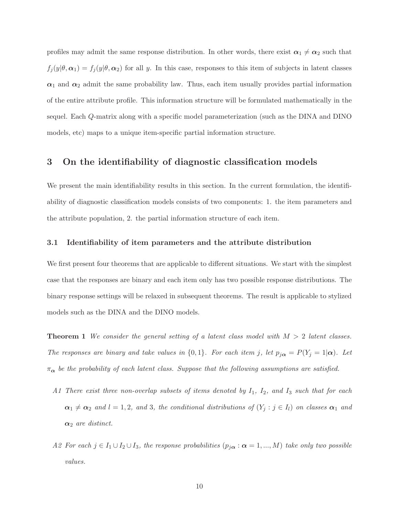profiles may admit the same response distribution. In other words, there exist  $\alpha_1 \neq \alpha_2$  such that  $f_j(y|\theta, \alpha_1) = f_j(y|\theta, \alpha_2)$  for all y. In this case, responses to this item of subjects in latent classes  $\alpha_1$  and  $\alpha_2$  admit the same probability law. Thus, each item usually provides partial information of the entire attribute profile. This information structure will be formulated mathematically in the sequel. Each Q-matrix along with a specific model parameterization (such as the DINA and DINO models, etc) maps to a unique item-specific partial information structure.

# <span id="page-9-0"></span>3 On the identifiability of diagnostic classification models

We present the main identifiability results in this section. In the current formulation, the identifiability of diagnostic classification models consists of two components: 1. the item parameters and the attribute population, 2. the partial information structure of each item.

#### 3.1 Identifiability of item parameters and the attribute distribution

We first present four theorems that are applicable to different situations. We start with the simplest case that the responses are binary and each item only has two possible response distributions. The binary response settings will be relaxed in subsequent theorems. The result is applicable to stylized models such as the DINA and the DINO models.

<span id="page-9-1"></span>Theorem 1 *We consider the general setting of a latent class model with* M > 2 *latent classes. The responses are binary and take values in*  $\{0, 1\}$ *. For each item* j, let  $p_{j\alpha} = P(Y_j = 1 | \alpha)$ *. Let*  $\pi_{\alpha}$  be the probability of each latent class. Suppose that the following assumptions are satisfied.

- *A1 There exist three non-overlap subsets of items denoted by* I1*,* I2*, and* I<sup>3</sup> *such that for each*  $\alpha_1 \neq \alpha_2$  *and*  $l = 1, 2$ *, and* 3*, the conditional distributions of*  $(Y_j : j \in I_l)$  *on classes*  $\alpha_1$  *and*  $\alpha_2$  *are distinct.*
- *A2 For each*  $j \in I_1 \cup I_2 \cup I_3$ *, the response probabilities*  $(p_{j\alpha} : \alpha = 1, ..., M)$  *take only two possible values.*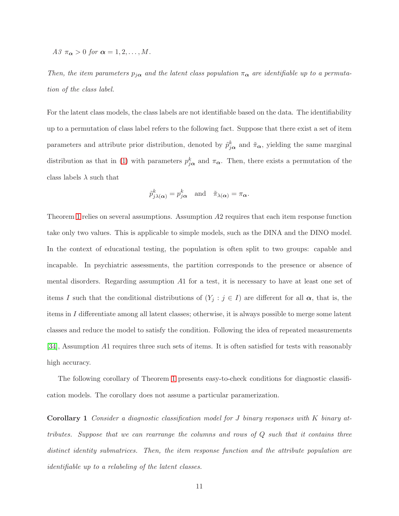*A3*  $\pi_{\alpha} > 0$  *for*  $\alpha = 1, 2, ..., M$ .

Then, the item parameters  $p_{j\alpha}$  and the latent class population  $\pi_{\alpha}$  are identifiable up to a permuta*tion of the class label.*

For the latent class models, the class labels are not identifiable based on the data. The identifiability up to a permutation of class label refers to the following fact. Suppose that there exist a set of item parameters and attribute prior distribution, denoted by  $\tilde{p}_{j\alpha}^k$  and  $\tilde{\pi}_{\alpha}$ , yielding the same marginal distribution as that in [\(1\)](#page-4-0) with parameters  $p_{j\alpha}^k$  and  $\pi_{\alpha}$ . Then, there exists a permutation of the class labels  $\lambda$  such that

$$
\tilde{p}_{j\lambda(\alpha)}^k = p_{j\alpha}^k
$$
 and  $\tilde{\pi}_{\lambda(\alpha)} = \pi_{\alpha}$ .

Theorem [1](#page-9-1) relies on several assumptions. Assumption A2 requires that each item response function take only two values. This is applicable to simple models, such as the DINA and the DINO model. In the context of educational testing, the population is often split to two groups: capable and incapable. In psychiatric assessments, the partition corresponds to the presence or absence of mental disorders. Regarding assumption A1 for a test, it is necessary to have at least one set of items I such that the conditional distributions of  $(Y_j : j \in I)$  are different for all  $\alpha$ , that is, the items in I differentiate among all latent classes; otherwise, it is always possible to merge some latent classes and reduce the model to satisfy the condition. Following the idea of repeated measurements [\[34\]](#page-33-3), Assumption A1 requires three such sets of items. It is often satisfied for tests with reasonably high accuracy.

<span id="page-10-0"></span>The following corollary of Theorem [1](#page-9-1) presents easy-to-check conditions for diagnostic classification models. The corollary does not assume a particular paramerization.

Corollary 1 *Consider a diagnostic classification model for* J *binary responses with* K *binary attributes. Suppose that we can rearrange the columns and rows of* Q *such that it contains three distinct identity submatrices. Then, the item response function and the attribute population are identifiable up to a relabeling of the latent classes.*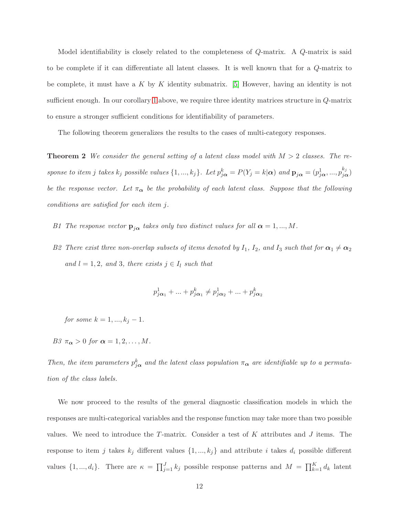Model identifiability is closely related to the completeness of Q-matrix. A Q-matrix is said to be complete if it can differentiate all latent classes. It is well known that for a Q-matrix to be complete, it must have a K by K identity submatrix. [\[5\]](#page-30-2) However, having an identity is not sufficient enough. In our corollary [1](#page-10-0) above, we require three identity matrices structure in Q-matrix to ensure a stronger sufficient conditions for identifiability of parameters.

<span id="page-11-0"></span>The following theorem generalizes the results to the cases of multi-category responses.

Theorem 2 *We consider the general setting of a latent class model with* M > 2 *classes. The response to item j takes*  $k_j$  *possible values*  $\{1, ..., k_j\}$ *. Let*  $p_{j\alpha}^k = P(Y_j = k | \alpha)$  *and*  $\mathbf{p}_{j\alpha} = (p_{j\alpha}^1, ..., p_{j\alpha}^{k_j})$ *be the response vector. Let*  $\pi_{\alpha}$  *be the probability of each latent class. Suppose that the following conditions are satisfied for each item* j*.*

- *B1* The response vector  $\mathbf{p}_{j\alpha}$  takes only two distinct values for all  $\alpha = 1, ..., M$ .
- *B2* There exist three non-overlap subsets of items denoted by  $I_1$ ,  $I_2$ , and  $I_3$  *such that for*  $\alpha_1 \neq \alpha_2$ *and*  $l = 1, 2$ *, and* 3*, there exists*  $j \in I_l$  *such that*

$$
p_{j\alpha_1}^1 + \ldots + p_{j\alpha_1}^k \neq p_{j\alpha_2}^1 + \ldots + p_{j\alpha_2}^k
$$

*for some*  $k = 1, ..., k_j - 1$ *.* 

*B3*  $\pi_{\alpha} > 0$  *for*  $\alpha = 1, 2, ..., M$ .

Then, the item parameters  $p_{j\alpha}^k$  and the latent class population  $\pi_{\alpha}$  are identifiable up to a permuta*tion of the class labels.*

We now proceed to the results of the general diagnostic classification models in which the responses are multi-categorical variables and the response function may take more than two possible values. We need to introduce the  $T$ -matrix. Consider a test of  $K$  attributes and  $J$  items. The response to item j takes  $k_j$  different values  $\{1, ..., k_j\}$  and attribute i takes  $d_i$  possible different values  $\{1, ..., d_i\}$ . There are  $\kappa = \prod_{j=1}^{J} k_j$  possible response patterns and  $M = \prod_{k=1}^{K} d_k$  latent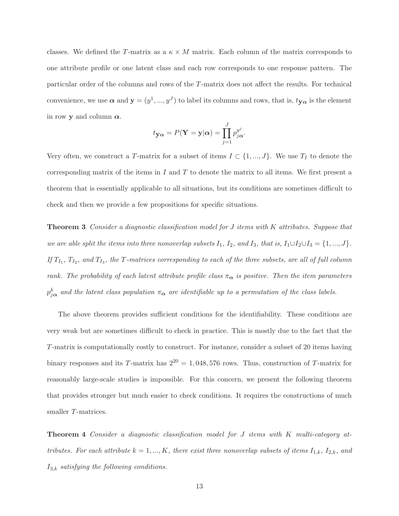classes. We defined the T-matrix as a  $\kappa \times M$  matrix. Each column of the matrix corresponds to one attribute profile or one latent class and each row corresponds to one response pattern. The particular order of the columns and rows of the T-matrix does not affect the results. For technical convenience, we use  $\boldsymbol{\alpha}$  and  $\mathbf{y} = (y^1, ..., y^J)$  to label its columns and rows, that is,  $t_{\mathbf{y}\alpha}$  is the element in row y and column  $\alpha$ .

$$
t_{\mathbf{y}\alpha} = P(\mathbf{Y} = \mathbf{y}|\alpha) = \prod_{j=1}^{J} p_{j\alpha}^{y^{j}}.
$$

Very often, we construct a T-matrix for a subset of items  $I \subset \{1, ..., J\}$ . We use  $T_I$  to denote the corresponding matrix of the items in  $I$  and  $T$  to denote the matrix to all items. We first present a theorem that is essentially applicable to all situations, but its conditions are sometimes difficult to check and then we provide a few propositions for specific situations.

<span id="page-12-0"></span>Theorem 3 *Consider a diagnostic classification model for* J *items with* K *attributes. Suppose that we are able split the items into three nonoverlap subsets*  $I_1$ ,  $I_2$ *, and*  $I_3$ *, that is,*  $I_1 \cup I_2 \cup I_3 = \{1, ..., J\}$ *.* If  $T_{I_1}$ ,  $T_{I_2}$ , and  $T_{I_3}$ , the T*-matrices corresponding to each of the three subsets, are all of full column rank. The probability of each latent attribute profile class*  $\pi_{\alpha}$  *is positive. Then the item parameters*  $p_{j\alpha}^k$  and the latent class population  $\pi_{\alpha}$  are identifiable up to a permutation of the class labels.

The above theorem provides sufficient conditions for the identifiability. These conditions are very weak but are sometimes difficult to check in practice. This is mostly due to the fact that the T-matrix is computationally costly to construct. For instance, consider a subset of 20 items having binary responses and its T-matrix has  $2^{20} = 1,048,576$  rows. Thus, construction of T-matrix for reasonably large-scale studies is impossible. For this concern, we present the following theorem that provides stronger but much easier to check conditions. It requires the constructions of much smaller T-matrices.

<span id="page-12-1"></span>Theorem 4 *Consider a diagnostic classification model for* J *items with* K *multi-category attributes. For each attribute*  $k = 1, ..., K$ *, there exist three nonoverlap subsets of items*  $I_{1,k}$ *,*  $I_{2,k}$ *, and* I3,k *satisfying the following conditions.*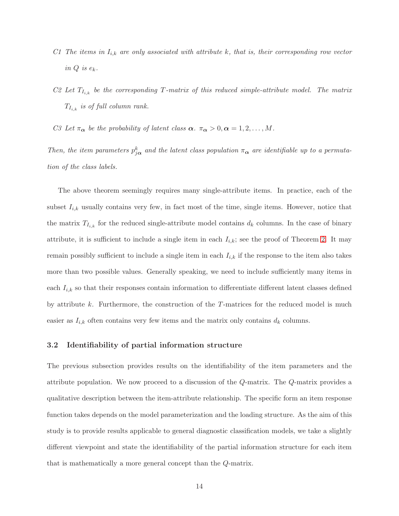- *C1* The items in  $I_{i,k}$  are only associated with attribute k, that is, their corresponding row vector *in* Q *is* ek*.*
- *C2 Let*  $T_{I_{i,k}}$  *be the corresponding*  $T$ -matrix of this reduced simple-attribute model. The matrix  $T_{I_{i,k}}$  *is of full column rank.*
- *C3* Let  $\pi_{\alpha}$  be the probability of latent class  $\alpha$ .  $\pi_{\alpha} > 0, \alpha = 1, 2, ..., M$ .

Then, the item parameters  $p_{j\alpha}^k$  and the latent class population  $\pi_{\alpha}$  are identifiable up to a permuta*tion of the class labels.*

The above theorem seemingly requires many single-attribute items. In practice, each of the subset  $I_{i,k}$  usually contains very few, in fact most of the time, single items. However, notice that the matrix  $T_{I_{i,k}}$  for the reduced single-attribute model contains  $d_k$  columns. In the case of binary attribute, it is sufficient to include a single item in each  $I_{i,k}$ ; see the proof of Theorem [2.](#page-11-0) It may remain possibly sufficient to include a single item in each  $I_{i,k}$  if the response to the item also takes more than two possible values. Generally speaking, we need to include sufficiently many items in each  $I_{i,k}$  so that their responses contain information to differentiate different latent classes defined by attribute  $k$ . Furthermore, the construction of the T-matrices for the reduced model is much easier as  $I_{i,k}$  often contains very few items and the matrix only contains  $d_k$  columns.

#### 3.2 Identifiability of partial information structure

The previous subsection provides results on the identifiability of the item parameters and the attribute population. We now proceed to a discussion of the Q-matrix. The Q-matrix provides a qualitative description between the item-attribute relationship. The specific form an item response function takes depends on the model parameterization and the loading structure. As the aim of this study is to provide results applicable to general diagnostic classification models, we take a slightly different viewpoint and state the identifiability of the partial information structure for each item that is mathematically a more general concept than the Q-matrix.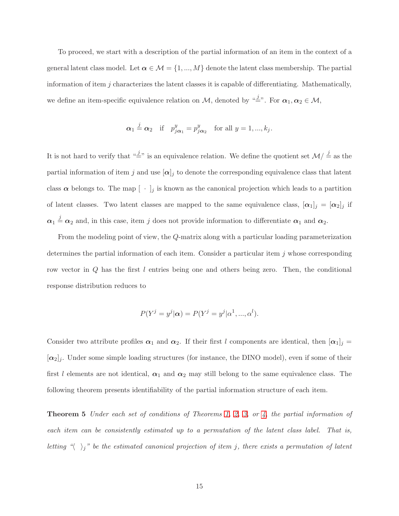To proceed, we start with a description of the partial information of an item in the context of a general latent class model. Let  $\alpha \in \mathcal{M} = \{1, ..., M\}$  denote the latent class membership. The partial information of item  $j$  characterizes the latent classes it is capable of differentiating. Mathematically, we define an item-specific equivalence relation on M, denoted by " $\stackrel{.}{=}$ ". For  $\alpha_1, \alpha_2 \in \mathcal{M}$ ,

$$
\alpha_1 \stackrel{j}{=} \alpha_2
$$
 if  $p_{j\alpha_1}^y = p_{j\alpha_2}^y$  for all  $y = 1, ..., k_j$ .

It is not hard to verify that " $\stackrel{j}{=}$ " is an equivalence relation. We define the quotient set  $\mathcal{M}/\stackrel{j}{=}$  as the partial information of item j and use  $[\alpha]_j$  to denote the corresponding equivalence class that latent class  $\alpha$  belongs to. The map  $[\cdot]_j$  is known as the canonical projection which leads to a partition of latent classes. Two latent classes are mapped to the same equivalence class,  $[\alpha_1]_j = [\alpha_2]_j$  if  $\alpha_1 \stackrel{j}{=} \alpha_2$  and, in this case, item j does not provide information to differentiate  $\alpha_1$  and  $\alpha_2$ .

From the modeling point of view, the Q-matrix along with a particular loading parameterization determines the partial information of each item. Consider a particular item  $j$  whose corresponding row vector in Q has the first l entries being one and others being zero. Then, the conditional response distribution reduces to

$$
P(Yj = yj | \alpha) = P(Yj = yj | \alpha1, ..., \alphal).
$$

Consider two attribute profiles  $\alpha_1$  and  $\alpha_2$ . If their first l components are identical, then  $[\alpha_1]_j =$  $[\alpha_2]_j$ . Under some simple loading structures (for instance, the DINO model), even if some of their first l elements are not identical,  $\alpha_1$  and  $\alpha_2$  may still belong to the same equivalence class. The following theorem presents identifiability of the partial information structure of each item.

<span id="page-14-0"></span>Theorem 5 *Under each set of conditions of Theorems [1,](#page-9-1) [2,](#page-11-0) [3,](#page-12-0) or [4,](#page-12-1) the partial information of each item can be consistently estimated up to a permutation of the latent class label. That is, letting* " $\langle \rangle_j$ " be the estimated canonical projection of item j, there exists a permutation of latent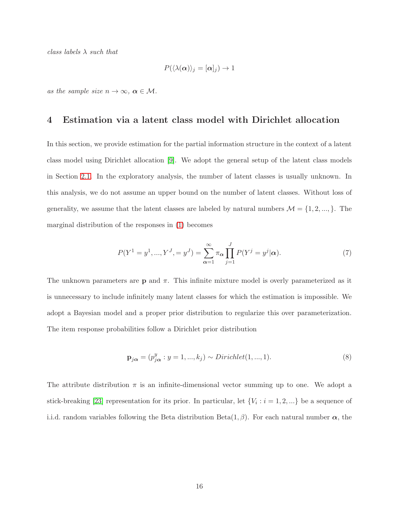*class labels* λ *such that*

$$
P(\langle \lambda(\boldsymbol{\alpha})\rangle_j = [\boldsymbol{\alpha}]_j) \to 1
$$

<span id="page-15-0"></span>*as the sample size*  $n \to \infty$ ,  $\alpha \in \mathcal{M}$ .

### 4 Estimation via a latent class model with Dirichlet allocation

In this section, we provide estimation for the partial information structure in the context of a latent class model using Dirichlet allocation [\[9\]](#page-30-7). We adopt the general setup of the latent class models in Section [2.1.](#page-3-1) In the exploratory analysis, the number of latent classes is usually unknown. In this analysis, we do not assume an upper bound on the number of latent classes. Without loss of generality, we assume that the latent classes are labeled by natural numbers  $\mathcal{M} = \{1, 2, ..., \}$ . The marginal distribution of the responses in [\(1\)](#page-4-0) becomes

<span id="page-15-1"></span>
$$
P(Y^{1} = y^{1}, ..., Y^{J}, = y^{J}) = \sum_{\alpha=1}^{\infty} \pi_{\alpha} \prod_{j=1}^{J} P(Y^{j} = y^{j} | \alpha).
$$
 (7)

The unknown parameters are **p** and  $\pi$ . This infinite mixture model is overly parameterized as it is unnecessary to include infinitely many latent classes for which the estimation is impossible. We adopt a Bayesian model and a proper prior distribution to regularize this over parameterization. The item response probabilities follow a Dirichlet prior distribution

<span id="page-15-2"></span>
$$
\mathbf{p}_{j\alpha} = (p_{j\alpha}^{y} : y = 1, ..., k_j) \sim Dirichlet(1, ..., 1).
$$
\n(8)

The attribute distribution  $\pi$  is an infinite-dimensional vector summing up to one. We adopt a stick-breaking [\[23\]](#page-32-9) representation for its prior. In particular, let  $\{V_i : i = 1, 2, ...\}$  be a sequence of i.i.d. random variables following the Beta distribution  $Beta(1,\beta)$ . For each natural number  $\alpha$ , the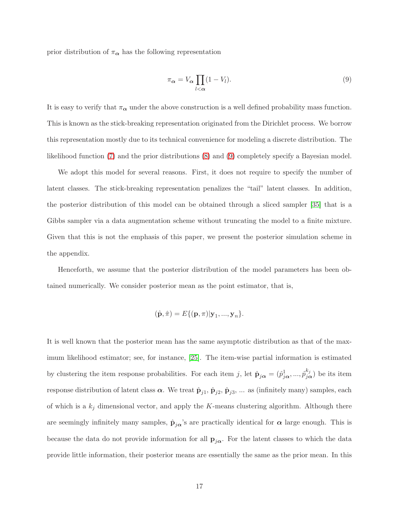prior distribution of  $\pi_{\alpha}$  has the following representation

<span id="page-16-0"></span>
$$
\pi_{\alpha} = V_{\alpha} \prod_{l < \alpha} (1 - V_l). \tag{9}
$$

It is easy to verify that  $\pi_{\alpha}$  under the above construction is a well defined probability mass function. This is known as the stick-breaking representation originated from the Dirichlet process. We borrow this representation mostly due to its technical convenience for modeling a discrete distribution. The likelihood function [\(7\)](#page-15-1) and the prior distributions [\(8\)](#page-15-2) and [\(9\)](#page-16-0) completely specify a Bayesian model.

We adopt this model for several reasons. First, it does not require to specify the number of latent classes. The stick-breaking representation penalizes the "tail" latent classes. In addition, the posterior distribution of this model can be obtained through a sliced sampler [\[35\]](#page-33-4) that is a Gibbs sampler via a data augmentation scheme without truncating the model to a finite mixture. Given that this is not the emphasis of this paper, we present the posterior simulation scheme in the appendix.

Henceforth, we assume that the posterior distribution of the model parameters has been obtained numerically. We consider posterior mean as the point estimator, that is,

$$
(\hat{\mathbf{p}}, \hat{\pi}) = E\{(\mathbf{p}, \pi)|\mathbf{y}_1, ..., \mathbf{y}_n\}.
$$

It is well known that the posterior mean has the same asymptotic distribution as that of the maximum likelihood estimator; see, for instance, [\[25\]](#page-32-10). The item-wise partial information is estimated by clustering the item response probabilities. For each item j, let  $\hat{\mathbf{p}}_{j\alpha} = (\hat{p}_{j\alpha}^1, ..., \hat{p}_{j\alpha}^{k_j})$  be its item response distribution of latent class  $\alpha$ . We treat  $\hat{\mathbf{p}}_{j1}$ ,  $\hat{\mathbf{p}}_{j2}$ ,  $\hat{\mathbf{p}}_{j3}$ , ... as (infinitely many) samples, each of which is a  $k_j$  dimensional vector, and apply the K-means clustering algorithm. Although there are seemingly infinitely many samples,  $\hat{\mathbf{p}}_{j\alpha}$ 's are practically identical for  $\alpha$  large enough. This is because the data do not provide information for all  $\mathbf{p}_{j\alpha}$ . For the latent classes to which the data provide little information, their posterior means are essentially the same as the prior mean. In this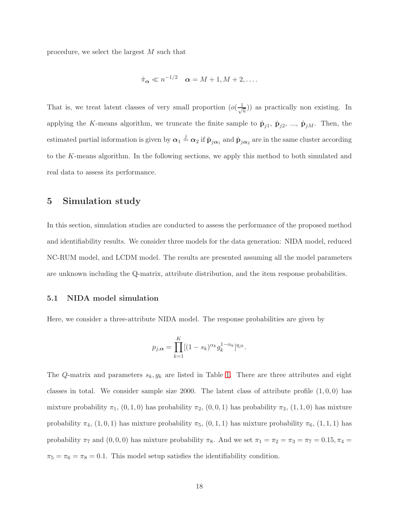procedure, we select the largest M such that

$$
\hat{\pi}_{\alpha} \ll n^{-1/2} \quad \alpha = M + 1, M + 2, \dots
$$

That is, we treat latent classes of very small proportion  $(o(\frac{1}{\sqrt{2}}))$  $(\frac{1}{n})$  as practically non existing. In applying the K-means algorithm, we truncate the finite sample to  $\hat{\mathbf{p}}_{j1}$ ,  $\hat{\mathbf{p}}_{j2}$ , ...,  $\hat{\mathbf{p}}_{jM}$ . Then, the estimated partial information is given by  $\alpha_1 \stackrel{j}{=} \alpha_2$  if  $\hat{p}_{j\alpha_1}$  and  $\hat{p}_{j\alpha_2}$  are in the same cluster according to the K-means algorithm. In the following sections, we apply this method to both simulated and real data to assess its performance.

### <span id="page-17-0"></span>5 Simulation study

In this section, simulation studies are conducted to assess the performance of the proposed method and identifiability results. We consider three models for the data generation: NIDA model, reduced NC-RUM model, and LCDM model. The results are presented assuming all the model parameters are unknown including the Q-matrix, attribute distribution, and the item response probabilities.

#### 5.1 NIDA model simulation

Here, we consider a three-attribute NIDA model. The response probabilities are given by

$$
p_{j,\alpha} = \prod_{k=1}^K [(1 - s_k)^{\alpha_k} g_k^{1 - \alpha_k}]^{q_{jk}}.
$$

The Q-matrix and parameters  $s_k, g_k$  are listed in Table [1.](#page-18-0) There are three attributes and eight classes in total. We consider sample size 2000. The latent class of attribute profile  $(1, 0, 0)$  has mixture probability  $\pi_1$ ,  $(0, 1, 0)$  has probability  $\pi_2$ ,  $(0, 0, 1)$  has probability  $\pi_3$ ,  $(1, 1, 0)$  has mixture probability  $\pi_4$ ,  $(1, 0, 1)$  has mixture probability  $\pi_5$ ,  $(0, 1, 1)$  has mixture probability  $\pi_6$ ,  $(1, 1, 1)$  has probability  $\pi_7$  and  $(0, 0, 0)$  has mixture probability  $\pi_8$ . And we set  $\pi_1 = \pi_2 = \pi_3 = \pi_7 = 0.15, \pi_4 = 0.15$  $\pi_5 = \pi_6 = \pi_8 = 0.1$ . This model setup satisfies the identifiability condition.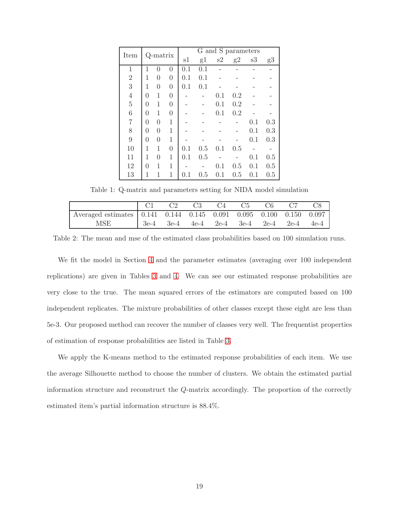| Item             |          | Q-matrix |                  |     |     |     | G and S parameters |     |     |
|------------------|----------|----------|------------------|-----|-----|-----|--------------------|-----|-----|
|                  |          |          |                  | s1  | g1  | s2  | g2                 | s3  | g3  |
| $\mathbf{1}$     | 1        | $\Omega$ | $\Omega$         | 0.1 | 0.1 |     |                    |     |     |
| $\overline{2}$   | 1        | $\theta$ | $\boldsymbol{0}$ | 0.1 | 0.1 |     |                    |     |     |
| 3                | 1        | $\theta$ | $\theta$         | 0.1 | 0.1 |     |                    |     |     |
| $\overline{4}$   | 0        | 1        | $\boldsymbol{0}$ |     |     | 0.1 | 0.2                |     |     |
| $\overline{5}$   | 0        | 1        | $\theta$         |     |     | 0.1 | 0.2                |     |     |
| $\boldsymbol{6}$ | 0        | 1        | $\boldsymbol{0}$ |     |     | 0.1 | 0.2                |     |     |
| 7                | 0        | $\theta$ | 1                |     |     |     |                    | 0.1 | 0.3 |
| 8                | $\theta$ | 0        | 1                |     |     |     |                    | 0.1 | 0.3 |
| 9                | $\theta$ | $\theta$ | 1                |     |     |     |                    | 0.1 | 0.3 |
| 10               | 1        | 1        | $\boldsymbol{0}$ | 0.1 | 0.5 | 0.1 | 0.5                |     |     |
| 11               | 1        | $\theta$ | 1                | 0.1 | 0.5 |     |                    | 0.1 | 0.5 |
| 12               | 0        | 1        | 1                |     |     | 0.1 | 0.5                | 0.1 | 0.5 |
| 13               | 1        | 1        | 1                | 0.1 | 0.5 | 0.1 | 0.5                | 0.1 | 0.5 |

<span id="page-18-0"></span>Table 1: Q-matrix and parameters setting for NIDA model simulation

|                                                                             | C2 | C3 | C4 | C5 | C <sub>6</sub> | C8                                                       |
|-----------------------------------------------------------------------------|----|----|----|----|----------------|----------------------------------------------------------|
| Averaged estimates   0.141  0.144  0.145  0.091  0.095  0.100  0.150  0.097 |    |    |    |    |                |                                                          |
| MSE                                                                         |    |    |    |    |                | $18e-4$ $3e-4$ $4e-4$ $2e-4$ $3e-4$ $2e-4$ $2e-4$ $4e-4$ |

Table 2: The mean and mse of the estimated class probabilities based on 100 simulation runs.

We fit the model in Section [4](#page-15-0) and the parameter estimates (averaging over 100 independent replications) are given in Tables [3](#page-19-0) and [4.](#page-19-1) We can see our estimated response probabilities are very close to the true. The mean squared errors of the estimators are computed based on 100 independent replicates. The mixture probabilities of other classes except these eight are less than 5e-3. Our proposed method can recover the number of classes very well. The frequentist properties of estimation of response probabilities are listed in Table [3.](#page-19-0)

We apply the K-means method to the estimated response probabilities of each item. We use the average Silhouette method to choose the number of clusters. We obtain the estimated partial information structure and reconstruct the Q-matrix accordingly. The proportion of the correctly estimated item's partial information structure is 88.4%.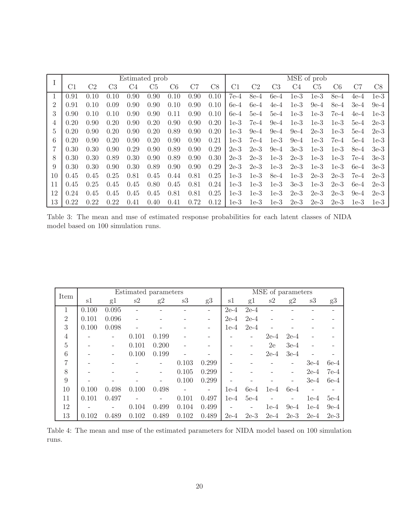|                |      |                |                | Estimated prob |                |      |      |      |        |        |                |        | MSE of prob    |        |        |        |
|----------------|------|----------------|----------------|----------------|----------------|------|------|------|--------|--------|----------------|--------|----------------|--------|--------|--------|
| $\perp$        | C1   | C <sub>2</sub> | C <sub>3</sub> | C4             | C <sub>5</sub> | C6   | C7   | C8   | С1     | C2     | C <sub>3</sub> | C4     | C <sub>5</sub> | C6     | C7     | C8     |
|                | 0.91 | 0.10           | 0.10           | 0.90           | 0.90           | 0.10 | 0.90 | 0.10 | $7e-4$ | 8e-4   | $6e-4$         | $1e-3$ | $1e-3$         | 8e-4   | $4e-4$ | $1e-3$ |
| $\overline{2}$ | 0.91 | 0.10           | 0.09           | 0.90           | 0.90           | 0.10 | 0.90 | 0.10 | $6e-4$ | $6e-4$ | $4e-4$         | $1e-3$ | $9e-4$         | 8e-4   | $3e-4$ | $9e-4$ |
| 3              | 0.90 | 0.10           | 0.10           | 0.90           | 0.90           | 0.11 | 0.90 | 0.10 | $6e-4$ | $5e-4$ | $5e-4$         | $1e-3$ | $1e-3$         | $7e-4$ | $4e-4$ | $1e-3$ |
| 4              | 0.20 | 0.90           | 0.20           | 0.90           | 0.20           | 0.90 | 0.90 | 0.20 | $1e-3$ | $7e-4$ | $9e-4$         | $1e-3$ | $1e-3$         | $1e-3$ | $5e-4$ | $2e-3$ |
| 5              | 0.20 | 0.90           | 0.20           | 0.90           | 0.20           | 0.89 | 0.90 | 0.20 | $1e-3$ | $9e-4$ | $9e-4$         | $9e-4$ | $2e-3$         | $1e-3$ | $5e-4$ | $2e-3$ |
| 6              | 0.20 | 0.90           | 0.20           | 0.90           | 0.20           | 0.90 | 0.90 | 0.21 | $1e-3$ | $7e-4$ | $1e-3$         | $9e-4$ | $1e-3$         | 7e-4   | $5e-4$ | $1e-3$ |
|                | 0.30 | 0.30           | 0.90           | 0.29           | 0.90           | 0.89 | 0.90 | 0.29 | $2e-3$ | $2e-3$ | $9e-4$         | $3e-3$ | $1e-3$         | $1e-3$ | 8e-4   | $3e-3$ |
| 8              | 0.30 | 0.30           | 0.89           | 0.30           | 0.90           | 0.89 | 0.90 | 0.30 | $2e-3$ | $2e-3$ | $1e-3$         | $2e-3$ | $1e-3$         | $1e-3$ | 7e-4   | $3e-3$ |
| 9              | 0.30 | 0.30           | 0.90           | 0.30           | 0.89           | 0.90 | 0.90 | 0.29 | $2e-3$ | $2e-3$ | $1e-3$         | $2e-3$ | $1e-3$         | $1e-3$ | $6e-4$ | $3e-3$ |
| 10             | 0.45 | 0.45           | 0.25           | 0.81           | 0.45           | 0.44 | 0.81 | 0.25 | $1e-3$ | $1e-3$ | 8e-4           | $1e-3$ | $2e-3$         | $2e-3$ | 7e-4   | $2e-3$ |
| 11             | 0.45 | 0.25           | 0.45           | 0.45           | 0.80           | 0.45 | 0.81 | 0.24 | $1e-3$ | $1e-3$ | $1e-3$         | $3e-3$ | $1e-3$         | $2e-3$ | $6e-4$ | $2e-3$ |
| 12             | 0.24 | 0.45           | 0.45           | 0.45           | 0.45           | 0.81 | 0.81 | 0.25 | $1e-3$ | $1e-3$ | $1e-3$         | $2e-3$ | $2e-3$         | $2e-3$ | $9e-4$ | $2e-3$ |
| 13             | 0.22 | 0.22           | 0.22           | 0.41           | 0.40           | 0.41 | 0.72 | 0.12 | $1e-3$ | $1e-3$ | $1e-3$         | $2e-3$ | $2e-3$         | $2e-3$ | $1e-3$ | $1e-3$ |

<span id="page-19-0"></span>Table 3: The mean and mse of estimated response probabilities for each latent classes of NIDA model based on 100 simulation runs.

| Item            |       |       |       | Estimated parameters     |       |                          |        |        | MSE of parameters |        |        |        |
|-----------------|-------|-------|-------|--------------------------|-------|--------------------------|--------|--------|-------------------|--------|--------|--------|
|                 | s1    | g1    | s2    | g2                       | s3    | g3                       | s1     | g1     | s2                | g2     | s3     | g3     |
| 1               | 0.100 | 0.095 |       |                          |       |                          | $2e-4$ | $2e-4$ |                   |        |        |        |
| $\overline{2}$  | 0.101 | 0.096 |       |                          |       |                          | $2e-4$ | $2e-4$ |                   |        |        |        |
| 3               | 0.100 | 0.098 |       |                          |       |                          | $1e-4$ | $2e-4$ |                   |        |        |        |
| $\overline{4}$  |       |       | 0.101 | 0.199                    |       |                          |        |        | $2e-4$            | $2e-4$ |        |        |
| $\overline{5}$  |       |       | 0.101 | 0.200                    |       |                          |        |        | 2e                | $3e-4$ |        |        |
| $6\phantom{.}6$ |       |       | 0.100 | 0.199                    |       |                          |        |        | $2e-4$            | $3e-4$ |        |        |
| $\overline{7}$  |       |       |       |                          | 0.103 | 0.299                    |        |        |                   |        | $3e-4$ | $6e-4$ |
| 8               |       |       |       |                          | 0.105 | 0.299                    |        |        |                   |        | $2e-4$ | $7e-4$ |
| 9               |       |       |       | $\qquad \qquad -$        | 0.100 | 0.299                    |        |        |                   |        | $3e-4$ | $6e-4$ |
| 10              | 0.100 | 0.498 | 0.100 | 0.498                    |       | $\overline{\phantom{0}}$ | $1e-4$ | $6e-4$ | $1e-4$            | $6e-4$ |        |        |
| 11              | 0.101 | 0.497 |       | $\overline{\phantom{0}}$ | 0.101 | 0.497                    | $1e-4$ | $5e-4$ |                   |        | $1e-4$ | $5e-4$ |
| 12              |       |       | 0.104 | 0.499                    | 0.104 | 0.499                    |        |        | $1e-4$            | $9e-4$ | $1e-4$ | $9e-4$ |
| 13              | 0.102 | 0.489 | 0.102 | 0.489                    | 0.102 | 0.489                    | $2e-4$ | $2e-3$ | $2e-4$            | $2e-3$ | $2e-4$ | $2e-3$ |

<span id="page-19-1"></span>Table 4: The mean and mse of the estimated parameters for NIDA model based on 100 simulation runs.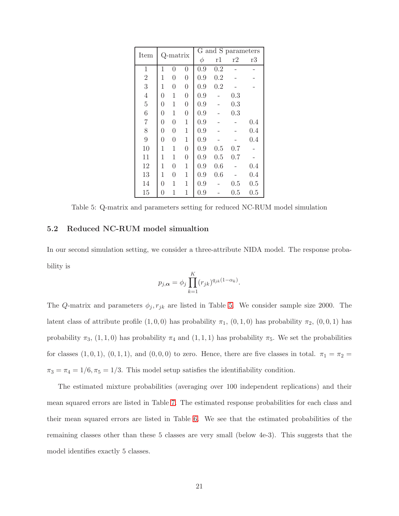| Item           |          | Q-matrix       |                |     |     | G and S parameters |     |
|----------------|----------|----------------|----------------|-----|-----|--------------------|-----|
|                |          |                |                | φ   | r1  | r2                 | r3  |
| 1              | 1        | $\theta$       | $\overline{0}$ | 0.9 | 0.2 |                    |     |
| $\overline{2}$ | 1        | $\overline{0}$ | $\overline{0}$ | 0.9 | 0.2 |                    |     |
| 3              | 1        | $\theta$       | $\overline{0}$ | 0.9 | 0.2 |                    |     |
| $\overline{4}$ | $\theta$ | 1              | $\overline{0}$ | 0.9 |     | 0.3                |     |
| $\overline{5}$ | $\theta$ | 1              | $\overline{0}$ | 0.9 |     | 0.3                |     |
| 6              | $\theta$ | 1              | $\overline{0}$ | 0.9 |     | 0.3                |     |
| $\overline{7}$ | $\theta$ | $\overline{0}$ | $\mathbf 1$    | 0.9 |     |                    | 0.4 |
| 8              | $\theta$ | $\theta$       | $\mathbf 1$    | 0.9 |     |                    | 0.4 |
| 9              | $\theta$ | $\theta$       | $\mathbf{1}$   | 0.9 |     |                    | 0.4 |
| 10             | 1        | 1              | $\overline{0}$ | 0.9 | 0.5 | 0.7                |     |
| 11             | 1        | 1              | $\overline{0}$ | 0.9 | 0.5 | 0.7                |     |
| 12             | 1        | $\theta$       | $\mathbf{1}$   | 0.9 | 0.6 |                    | 0.4 |
| 13             | 1        | $\theta$       | 1              | 0.9 | 0.6 |                    | 0.4 |
| 14             | 0        | 1              | $\mathbf 1$    | 0.9 |     | $0.5\,$            | 0.5 |
| 15             | 0        | 1              | 1              | 0.9 |     | $\rm 0.5$          | 0.5 |

<span id="page-20-0"></span>Table 5: Q-matrix and parameters setting for reduced NC-RUM model simulation

#### 5.2 Reduced NC-RUM model simualtion

In our second simulation setting, we consider a three-attribute NIDA model. The response probability is

$$
p_{j,\alpha} = \phi_j \prod_{k=1}^K (r_{jk})^{q_{jk}(1-\alpha_k)}.
$$

The Q-matrix and parameters  $\phi_j, r_{jk}$  are listed in Table [5.](#page-20-0) We consider sample size 2000. The latent class of attribute profile  $(1, 0, 0)$  has probability  $\pi_1$ ,  $(0, 1, 0)$  has probability  $\pi_2$ ,  $(0, 0, 1)$  has probability  $\pi_3$ ,  $(1, 1, 0)$  has probability  $\pi_4$  and  $(1, 1, 1)$  has probability  $\pi_5$ . We set the probabilities for classes  $(1, 0, 1)$ ,  $(0, 1, 1)$ , and  $(0, 0, 0)$  to zero. Hence, there are five classes in total.  $\pi_1 = \pi_2 =$  $\pi_3 = \pi_4 = 1/6, \pi_5 = 1/3$ . This model setup satisfies the identifiability condition.

The estimated mixture probabilities (averaging over 100 independent replications) and their mean squared errors are listed in Table [7.](#page-21-0) The estimated response probabilities for each class and their mean squared errors are listed in Table [6.](#page-21-1) We see that the estimated probabilities of the remaining classes other than these 5 classes are very small (below 4e-3). This suggests that the model identifies exactly 5 classes.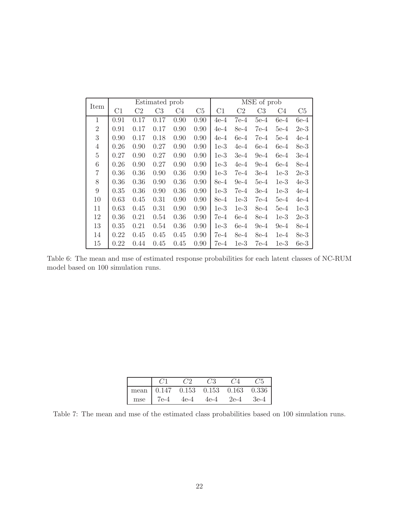| Item           |      |                | Estimated prob |      |      |        |                | MSE of prob |        |        |
|----------------|------|----------------|----------------|------|------|--------|----------------|-------------|--------|--------|
|                | C1   | C <sub>2</sub> | C <sub>3</sub> | C4   | C5   | C1     | C <sub>2</sub> | C3          | C4     | C5     |
| $\mathbf{1}$   | 0.91 | 0.17           | 0.17           | 0.90 | 0.90 | $4e-4$ | $7e-4$         | $5e-4$      | $6e-4$ | $6e-4$ |
| $\overline{2}$ | 0.91 | 0.17           | 0.17           | 0.90 | 0.90 | $4e-4$ | 8e-4           | 7e-4        | $5e-4$ | $2e-3$ |
| 3              | 0.90 | 0.17           | 0.18           | 0.90 | 0.90 | $4e-4$ | $6e-4$         | $7e-4$      | $5e-4$ | $4e-4$ |
| $\overline{4}$ | 0.26 | 0.90           | 0.27           | 0.90 | 0.90 | $1e-3$ | $4e-4$         | $6e-4$      | $6e-4$ | 8e-3   |
| $\overline{5}$ | 0.27 | 0.90           | 0.27           | 0.90 | 0.90 | $1e-3$ | $3e-4$         | $9e-4$      | $6e-4$ | $3e-4$ |
| $\!6\,$        | 0.26 | 0.90           | 0.27           | 0.90 | 0.90 | $1e-3$ | $4e-4$         | $9e-4$      | $6e-4$ | 8e-4   |
| $\overline{7}$ | 0.36 | 0.36           | 0.90           | 0.36 | 0.90 | $1e-3$ | $7e-4$         | $3e-4$      | $1e-3$ | $2e-3$ |
| 8              | 0.36 | 0.36           | 0.90           | 0.36 | 0.90 | 8e-4   | $9e-4$         | $5e-4$      | $1e-3$ | $4e-3$ |
| 9              | 0.35 | 0.36           | 0.90           | 0.36 | 0.90 | $1e-3$ | 7e-4           | $3e-4$      | $1e-3$ | $4e-4$ |
| 10             | 0.63 | 0.45           | 0.31           | 0.90 | 0.90 | 8e-4   | $1e-3$         | $7e-4$      | $5e-4$ | $4e-4$ |
| 11             | 0.63 | 0.45           | 0.31           | 0.90 | 0.90 | $1e-3$ | $1e-3$         | 8e-4        | $5e-4$ | $1e-3$ |
| 12             | 0.36 | 0.21           | 0.54           | 0.36 | 0.90 | $7e-4$ | $6e-4$         | 8e-4        | $1e-3$ | $2e-3$ |
| 13             | 0.35 | 0.21           | 0.54           | 0.36 | 0.90 | $1e-3$ | $6e-4$         | $9e-4$      | $9e-4$ | 8e-4   |
| 14             | 0.22 | 0.45           | 0.45           | 0.45 | 0.90 | 7e-4   | 8e-4           | 8e-4        | $1e-4$ | 8e-3   |
| 15             | 0.22 | 0.44           | 0.45           | 0.45 | 0.90 | 7e-4   | $1e-3$         | 7e-4        | $1e-3$ | $6e-3$ |

<span id="page-21-1"></span>Table 6: The mean and mse of estimated response probabilities for each latent classes of NC-RUM model based on 100 simulation runs.

| C1 | C2 | C3 | $C4$ $C5$                                      |
|----|----|----|------------------------------------------------|
|    |    |    | mean   $0.147$ $0.153$ $0.153$ $0.163$ $0.336$ |
|    |    |    | mse   7e-4 $4e-4$ $4e-4$ $2e-4$ $3e-4$         |

<span id="page-21-0"></span>Table 7: The mean and mse of the estimated class probabilities based on 100 simulation runs.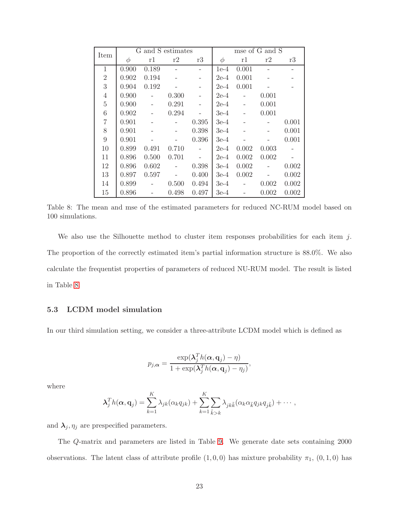| Item           |        | G and S estimates |       |       |        |       | mse of G and S |       |
|----------------|--------|-------------------|-------|-------|--------|-------|----------------|-------|
|                | $\phi$ | r1                | r2    | r3    | $\phi$ | r1    | r2             | r3    |
| $\mathbf{1}$   | 0.900  | 0.189             |       |       | $1e-4$ | 0.001 |                |       |
| $\overline{2}$ | 0.902  | 0.194             |       |       | $2e-4$ | 0.001 |                |       |
| 3              | 0.904  | 0.192             |       |       | $2e-4$ | 0.001 |                |       |
| $\overline{4}$ | 0.900  |                   | 0.300 |       | $2e-4$ |       | 0.001          |       |
| $\overline{5}$ | 0.900  |                   | 0.291 |       | $2e-4$ |       | 0.001          |       |
| 6              | 0.902  |                   | 0.294 |       | $3e-4$ |       | 0.001          |       |
| $\overline{7}$ | 0.901  |                   |       | 0.395 | $3e-4$ |       |                | 0.001 |
| 8              | 0.901  |                   |       | 0.398 | $3e-4$ |       |                | 0.001 |
| 9              | 0.901  |                   |       | 0.396 | $3e-4$ |       |                | 0.001 |
| 10             | 0.899  | 0.491             | 0.710 |       | $2e-4$ | 0.002 | 0.003          |       |
| 11             | 0.896  | 0.500             | 0.701 |       | $2e-4$ | 0.002 | 0.002          |       |
| 12             | 0.896  | 0.602             |       | 0.398 | $3e-4$ | 0.002 |                | 0.002 |
| 13             | 0.897  | 0.597             |       | 0.400 | $3e-4$ | 0.002 |                | 0.002 |
| 14             | 0.899  |                   | 0.500 | 0.494 | $3e-4$ |       | 0.002          | 0.002 |
| 15             | 0.896  |                   | 0.498 | 0.497 | $3e-4$ |       | 0.002          | 0.002 |

<span id="page-22-0"></span>Table 8: The mean and mse of the estimated parameters for reduced NC-RUM model based on 100 simulations.

We also use the Silhouette method to cluster item responses probabilities for each item  $j$ . The proportion of the correctly estimated item's partial information structure is 88.0%. We also calculate the frequentist properties of parameters of reduced NU-RUM model. The result is listed in Table [8.](#page-22-0)

### 5.3 LCDM model simulation

In our third simulation setting, we consider a three-attribute LCDM model which is defined as

$$
p_{j,\alpha} = \frac{\exp(\boldsymbol{\lambda}_j^T h(\boldsymbol{\alpha}, \mathbf{q}_j) - \eta)}{1 + \exp(\boldsymbol{\lambda}_j^T h(\boldsymbol{\alpha}, \mathbf{q}_j) - \eta_j)},
$$

where

$$
\boldsymbol{\lambda}_{j}^{T}h(\boldsymbol{\alpha},\mathbf{q}_{j})=\sum_{k=1}^{K}\lambda_{jk}(\alpha_{k}q_{jk})+\sum_{k=1}^{K}\sum_{\tilde{k}>k}\lambda_{jk\tilde{k}}(\alpha_{k}\alpha_{\tilde{k}}q_{jk}q_{j\tilde{k}})+\cdots,
$$

and  $\lambda_j, \eta_j$  are prespecified parameters.

The Q-matrix and parameters are listed in Table [9.](#page-23-0) We generate date sets containing 2000 observations. The latent class of attribute profile  $(1, 0, 0)$  has mixture probability  $\pi_1$ ,  $(0, 1, 0)$  has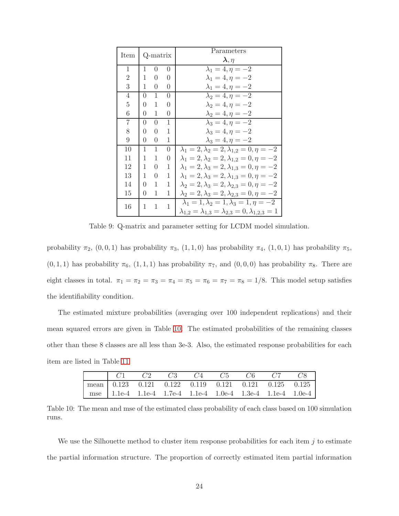| Item           |                | Q-matrix |   | Parameters<br>$\boldsymbol{\lambda}, \eta$                                                                                           |
|----------------|----------------|----------|---|--------------------------------------------------------------------------------------------------------------------------------------|
| 1              | 1              | $\theta$ | 0 | $\lambda_1 = 4, \eta = -2$                                                                                                           |
| $\overline{2}$ | 1              | $\theta$ | 0 | $\lambda_1 = 4, \eta = -2$                                                                                                           |
| 3              | 1              | 0        | 0 | $\lambda_1 = 4, \eta = -2$                                                                                                           |
| 4              | $\theta$       | 1        | 0 | $\lambda_2=4, \eta=-2$                                                                                                               |
| $\overline{5}$ | $\theta$       | 1        | 0 | $\lambda_2 = 4, \eta = -2$                                                                                                           |
| 6              | $\theta$       | 1        | 0 | $\lambda_2 = 4, \eta = -2$                                                                                                           |
| 7              | $\overline{0}$ | $\theta$ | 1 | $\lambda_3=4, \eta=-2$                                                                                                               |
| 8              | 0              | 0        | 1 | $\lambda_3 = 4, \eta = -2$                                                                                                           |
| 9              | $\theta$       | 0        | 1 | $\lambda_3=4, \eta=-2$                                                                                                               |
| 10             | 1              | 1        | 0 | $\lambda_1 = 2, \lambda_2 = 2, \lambda_{1,2} = 0, \eta = -2$                                                                         |
| 11             | 1              | 1        | 0 | $\lambda_1 = 2, \lambda_2 = 2, \lambda_{1,2} = 0, \eta = -2$                                                                         |
| 12             | 1              | $\Omega$ | 1 | $\lambda_1 = 2, \lambda_3 = 2, \lambda_{1,3} = 0, \eta = -2$                                                                         |
| 13             | 1              | 0        | 1 | $\lambda_1 = 2, \lambda_3 = 2, \lambda_{1,3} = 0, \eta = -2$                                                                         |
| 14             | 0              | 1        | 1 | $\lambda_2 = 2, \lambda_3 = 2, \lambda_{2,3} = 0, \eta = -2$                                                                         |
| 15             | $\theta$       | 1        | 1 | $\lambda_2 = 2, \lambda_3 = 2, \lambda_{2,3} = 0, \eta = -2$                                                                         |
| 16             | 1              | 1        | 1 | $\lambda_1 = 1, \lambda_2 = 1, \lambda_3 = 1, \eta = -2$<br>$\lambda_{1,2} = \lambda_{1,3} = \lambda_{2,3} = 0, \lambda_{1,2,3} = 1$ |

<span id="page-23-0"></span>Table 9: Q-matrix and parameter setting for LCDM model simulation.

probability  $\pi_2$ ,  $(0, 0, 1)$  has probability  $\pi_3$ ,  $(1, 1, 0)$  has probability  $\pi_4$ ,  $(1, 0, 1)$  has probability  $\pi_5$ ,  $(0, 1, 1)$  has probability  $\pi_6$ ,  $(1, 1, 1)$  has probability  $\pi_7$ , and  $(0, 0, 0)$  has probability  $\pi_8$ . There are eight classes in total.  $\pi_1 = \pi_2 = \pi_3 = \pi_4 = \pi_5 = \pi_6 = \pi_7 = \pi_8 = 1/8$ . This model setup satisfies the identifiability condition.

The estimated mixture probabilities (averaging over 100 independent replications) and their mean squared errors are given in Table [10.](#page-23-1) The estimated probabilities of the remaining classes other than these 8 classes are all less than 3e-3. Also, the estimated response probabilities for each item are listed in Table [11](#page-24-1)

| $\begin{array}{cccccc} \mid & C1 & & C2 & & C3 & & C4 & & C5 & & C6 & & C7 & & C8 \end{array}$ |  |  |  |  |
|------------------------------------------------------------------------------------------------|--|--|--|--|
| $\boxed{\text{mean}$ 0.123 0.121 0.122 0.119 0.121 0.121 0.125 0.125                           |  |  |  |  |
| mse   1.1e-4 1.1e-4 1.7e-4 1.1e-4 1.0e-4 1.3e-4 1.1e-4 1.0e-4                                  |  |  |  |  |

<span id="page-23-1"></span>Table 10: The mean and mse of the estimated class probability of each class based on 100 simulation runs.

We use the Silhouette method to cluster item response probabilities for each item  $j$  to estimate the partial information structure. The proportion of correctly estimated item partial information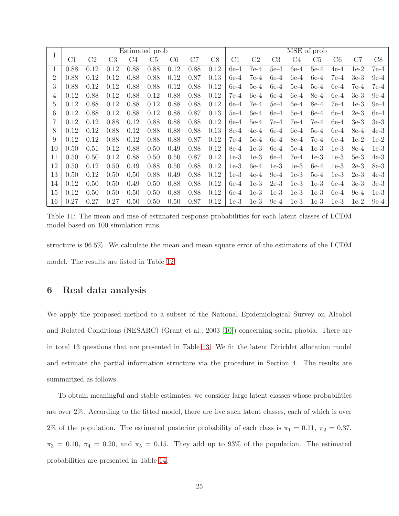| I  |      |                |                | Estimated prob |                |      |      |      |                     |                |                |        | MSE of prob |        |        |        |
|----|------|----------------|----------------|----------------|----------------|------|------|------|---------------------|----------------|----------------|--------|-------------|--------|--------|--------|
|    | C1   | C <sub>2</sub> | C <sub>3</sub> | C <sub>4</sub> | C <sub>5</sub> | C6   | C7   | C8   | $\overline{\rm C1}$ | C <sub>2</sub> | C <sub>3</sub> | C4     | C5          | C6     | C7     | C8     |
| 1  | 0.88 | 0.12           | 0.12           | 0.88           | 0.88           | 0.12 | 0.88 | 0.12 | $6e-4$              | $7e-4$         | $5e-4$         | $6e-4$ | $5e-4$      | $4e-4$ | $1e-2$ | $7e-4$ |
| 2  | 0.88 | 0.12           | 0.12           | 0.88           | 0.88           | 0.12 | 0.87 | 0.13 | $6e-4$              | $7e-4$         | $6e-4$         | $6e-4$ | $6e-4$      | $7e-4$ | $3e-3$ | $9e-4$ |
| 3  | 0.88 | 0.12           | 0.12           | 0.88           | 0.88           | 0.12 | 0.88 | 0.12 | $6e-4$              | $5e-4$         | $6e-4$         | $5e-4$ | $5e-4$      | $6e-4$ | $7e-4$ | $7e-4$ |
| 4  | 0.12 | 0.88           | 0.12           | 0.88           | 0.12           | 0.88 | 0.88 | 0.12 | $7e-4$              | $6e-4$         | $6e-4$         | $6e-4$ | 8e-4        | $6e-4$ | $3e-3$ | $9e-4$ |
| 5  | 0.12 | 0.88           | 0.12           | 0.88           | 0.12           | 0.88 | 0.88 | 0.12 | $6e-4$              | $7e-4$         | $5e-4$         | $6e-4$ | 8e-4        | $7e-4$ | $1e-3$ | $9e-4$ |
| 6  | 0.12 | 0.88           | 0.12           | 0.88           | 0.12           | 0.88 | 0.87 | 0.13 | $5e-4$              | $6e-4$         | $6e-4$         | $5e-4$ | $6e-4$      | $6e-4$ | $2e-3$ | $6e-4$ |
|    | 0.12 | 0.12           | 0.88           | 0.12           | 0.88           | 0.88 | 0.88 | 0.12 | $6e-4$              | $5e-4$         | 7e-4           | 7e-4   | $7e-4$      | $6e-4$ | $3e-3$ | $3e-3$ |
| 8  | 0.12 | 0.12           | 0.88           | 0.12           | 0.88           | 0.88 | 0.88 | 0.13 | $8e-4$              | $4e-4$         | $6e-4$         | $6e-4$ | $5e-4$      | $6e-4$ | $8e-4$ | $4e-3$ |
| 9  | 0.12 | 0.12           | 0.88           | 0.12           | 0.88           | 0.88 | 0.87 | 0.12 | $7e-4$              | $5e-4$         | $6e-4$         | 8e-4   | $7e-4$      | $6e-4$ | $1e-2$ | $1e-2$ |
| 10 | 0.50 | 0.51           | 0.12           | 0.88           | 0.50           | 0.49 | 0.88 | 0.12 | $8e-4$              | $1e-3$         | $6e-4$         | $5e-4$ | $1e-3$      | $1e-3$ | $8e-4$ | $1e-3$ |
| 11 | 0.50 | 0.50           | 0.12           | 0.88           | 0.50           | 0.50 | 0.87 | 0.12 | $1e-3$              | $1e-3$         | $6e-4$         | $7e-4$ | $1e-3$      | $1e-3$ | $5e-3$ | $4e-3$ |
| 12 | 0.50 | 0.12           | 0.50           | 0.49           | 0.88           | 0.50 | 0.88 | 0.12 | $1e-3$              | $6e-4$         | $1e-3$         | $1e-3$ | $6e-4$      | $1e-3$ | $2e-3$ | $8e-3$ |
| 13 | 0.50 | 0.12           | 0.50           | 0.50           | 0.88           | 0.49 | 0.88 | 0.12 | $1e-3$              | $4e-4$         | $9e-4$         | $1e-3$ | $5e-4$      | $1e-3$ | $2e-3$ | $4e-3$ |
| 14 | 0.12 | 0.50           | 0.50           | 0.49           | 0.50           | 0.88 | 0.88 | 0.12 | $6e-4$              | $1e-3$         | $2e-3$         | $1e-3$ | $1e-3$      | $6e-4$ | $3e-3$ | $3e-3$ |
| 15 | 0.12 | 0.50           | 0.50           | 0.50           | 0.50           | 0.88 | 0.88 | 0.12 | $6e-4$              | $1e-3$         | $1e-3$         | $1e-3$ | $1e-3$      | $6e-4$ | $9e-4$ | $1e-3$ |
| 16 | 0.27 | 0.27           | 0.27           | 0.50           | 0.50           | 0.50 | 0.87 | 0.12 | $1e-3$              | $1e-3$         | $9e-4$         | $1e-3$ | $1e-3$      | $1e-3$ | $1e-2$ | $9e-4$ |

<span id="page-24-1"></span>Table 11: The mean and mse of estimated response probabilities for each latent classes of LCDM model based on 100 simulation runs.

<span id="page-24-0"></span>structure is 96.5%. We calculate the mean and mean square error of the estimators of the LCDM model. The results are listed in Table [12.](#page-25-0)

# 6 Real data analysis

We apply the proposed method to a subset of the National Epidemiological Survey on Alcohol and Related Conditions (NESARC) (Grant et al., 2003 [\[10\]](#page-31-8)) concerning social phobia. There are in total 13 questions that are presented in Table [13.](#page-27-0) We fit the latent Dirichlet allocation model and estimate the partial information structure via the procedure in Section 4. The results are summarized as follows.

To obtain meaningful and stable estimates, we consider large latent classes whose probabilities are over 2%. According to the fitted model, there are five such latent classes, each of which is over 2% of the population. The estimated posterior probability of each class is  $\pi_1 = 0.11$ ,  $\pi_2 = 0.37$ ,  $\pi_3 = 0.10, \pi_4 = 0.20, \text{ and } \pi_5 = 0.15.$  They add up to 93% of the population. The estimated probabilities are presented in Table [14.](#page-27-1)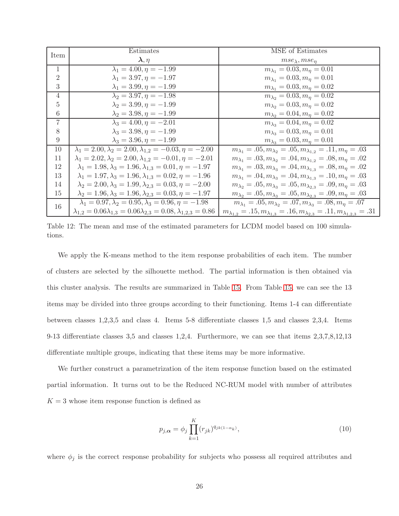| Item           | Estimates                                                                              | MSE of Estimates                                                                                       |
|----------------|----------------------------------------------------------------------------------------|--------------------------------------------------------------------------------------------------------|
|                | $\boldsymbol{\lambda}, \eta$                                                           | $mse_{\lambda}, mse_{\eta}$                                                                            |
| $\mathbf{1}$   | $\lambda_1 = 4.00, \eta = -1.99$                                                       | $m_{\lambda_1} = 0.03, m_{\eta} = 0.01$                                                                |
| $\overline{2}$ | $\lambda_1 = 3.97, \eta = -1.97$                                                       | $m_{\lambda_1} = 0.03, m_{\eta} = 0.01$                                                                |
| 3              | $\lambda_1 = 3.99, \eta = -1.99$                                                       | $m_{\lambda_1} = 0.03, m_{\eta} = 0.02$                                                                |
| $\overline{4}$ | $\overline{\lambda_2} = 3.97, \eta = -1.98$                                            | $\overline{m_{\lambda_2}} = 0.03, m_{\eta} = 0.02$                                                     |
| 5              | $\lambda_2 = 3.99, \eta = -1.99$                                                       | $m_{\lambda_2} = 0.03, m_{\eta} = 0.02$                                                                |
| $\,6\,$        | $\lambda_2 = 3.98, \eta = -1.99$                                                       | $m_{\lambda_2} = 0.04, m_{\eta} = 0.02$                                                                |
| $\overline{7}$ | $\overline{\lambda_3} = 4.00, \eta = -2.01$                                            | $m_{\lambda_3}=0.04, m_{\eta}=0.02$                                                                    |
| 8              | $\lambda_3 = 3.98, \eta = -1.99$                                                       | $m_{\lambda_3}=0.03, m_{\eta}=0.01$                                                                    |
| 9              | $\lambda_3 = 3.96, \eta = -1.99$                                                       | $m_{\lambda_3}=0.03, m_{\eta}=0.01$                                                                    |
| 10             | $\lambda_1 = 2.00, \lambda_2 = 2.00, \lambda_{1,2} = -0.03, \eta = -2.00$              | $m_{\lambda_1} = .05, m_{\lambda_2} = .05, m_{\lambda_{1,2}} = .11, m_{\eta} = .03$                    |
| 11             | $\lambda_1 = 2.02, \lambda_2 = 2.00, \lambda_{1,2} = -0.01, \eta = -2.01$              | $m_{\lambda_1} = .03, m_{\lambda_2} = .04, m_{\lambda_{1,2}} = .08, m_{\eta} = .02$                    |
| 12             | $\lambda_1 = 1.98, \lambda_3 = 1.96, \lambda_{1,3} = 0.01, \eta = -1.97$               | $m_{\lambda_1} = .03, m_{\lambda_3} = .04, m_{\lambda_{1.3}} = .08, m_{\eta} = .02$                    |
| 13             | $\lambda_1 = 1.97, \lambda_3 = 1.96, \lambda_{1,3} = 0.02, \eta = -1.96$               | $m_{\lambda_1} = .04, m_{\lambda_3} = .04, m_{\lambda_{1,3}} = .10, m_{\eta} = .03$                    |
| 14             | $\lambda_2 = 2.00, \lambda_3 = 1.99, \lambda_{2,3} = 0.03, \eta = -2.00$               | $m_{\lambda_2} = .05, m_{\lambda_3} = .05, m_{\lambda_{2,3}} = .09, m_{\eta} = .03$                    |
| 15             | $\lambda_2 = 1.96, \lambda_3 = 1.96, \lambda_{2,3} = 0.03, \eta = -1.97$               | $m_{\lambda_2} = .05, m_{\lambda_3} = .05, m_{\lambda_{2,3}} = .09, m_{\eta} = .03$                    |
| 16             | $\lambda_1 = 0.97, \lambda_2 = 0.95, \lambda_3 = 0.96, \eta = -1.98$                   | $m_{\lambda_1} = .05, m_{\lambda_2} = .07, m_{\lambda_3} = .08, m_{\eta} = .07$                        |
|                | $\lambda_{1,2} = 0.06\lambda_{1,3} = 0.06\lambda_{2,3} = 0.08, \lambda_{1,2,3} = 0.86$ | $m_{\lambda_{1,2}} = .15, m_{\lambda_{1,3}} = .16, m_{\lambda_{2,3}} = .11, m_{\lambda_{1,2,3}} = .31$ |

<span id="page-25-0"></span>Table 12: The mean and mse of the estimated parameters for LCDM model based on 100 simulations.

We apply the K-means method to the item response probabilities of each item. The number of clusters are selected by the silhouette method. The partial information is then obtained via this cluster analysis. The results are summarized in Table [15.](#page-28-0) From Table [15,](#page-28-0) we can see the 13 items may be divided into three groups according to their functioning. Items 1-4 can differentiate between classes 1,2,3,5 and class 4. Items 5-8 differentiate classes 1,5 and classes 2,3,4. Items 9-13 differentiate classes 3,5 and classes 1,2,4. Furthermore, we can see that items 2,3,7,8,12,13 differentiate multiple groups, indicating that these items may be more informative.

We further construct a parametrization of the item response function based on the estimated partial information. It turns out to be the Reduced NC-RUM model with number of attributes  $K = 3$  whose item response function is defined as

$$
p_{j,\alpha} = \phi_j \prod_{k=1}^{K} (r_{jk})^{q_{jk(1-\alpha_k)}},
$$
\n(10)

where  $\phi_j$  is the correct response probability for subjects who possess all required attributes and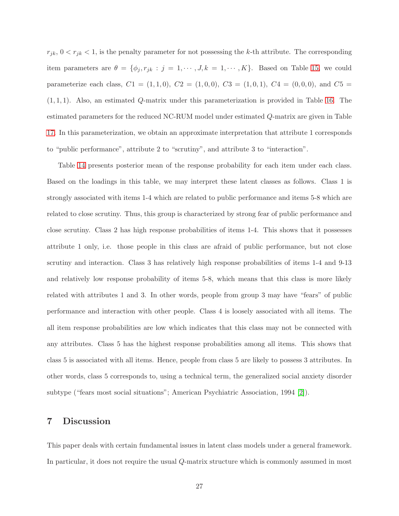$r_{jk}$ ,  $0 < r_{jk} < 1$ , is the penalty parameter for not possessing the k-th attribute. The corresponding item parameters are  $\theta = {\phi_j, r_{jk} : j = 1, \cdots, J, k = 1, \cdots, K}$ . Based on Table [15,](#page-28-0) we could parameterize each class,  $C1 = (1, 1, 0)$ ,  $C2 = (1, 0, 0)$ ,  $C3 = (1, 0, 1)$ ,  $C4 = (0, 0, 0)$ , and  $C5 =$  $(1, 1, 1)$ . Also, an estimated Q-matrix under this parameterization is provided in Table [16.](#page-28-1) The estimated parameters for the reduced NC-RUM model under estimated Q-matrix are given in Table [17.](#page-29-0) In this parameterization, we obtain an approximate interpretation that attribute 1 corresponds to "public performance", attribute 2 to "scrutiny", and attribute 3 to "interaction".

Table [14](#page-27-1) presents posterior mean of the response probability for each item under each class. Based on the loadings in this table, we may interpret these latent classes as follows. Class 1 is strongly associated with items 1-4 which are related to public performance and items 5-8 which are related to close scrutiny. Thus, this group is characterized by strong fear of public performance and close scrutiny. Class 2 has high response probabilities of items 1-4. This shows that it possesses attribute 1 only, i.e. those people in this class are afraid of public performance, but not close scrutiny and interaction. Class 3 has relatively high response probabilities of items 1-4 and 9-13 and relatively low response probability of items 5-8, which means that this class is more likely related with attributes 1 and 3. In other words, people from group 3 may have "fears" of public performance and interaction with other people. Class 4 is loosely associated with all items. The all item response probabilities are low which indicates that this class may not be connected with any attributes. Class 5 has the highest response probabilities among all items. This shows that class 5 is associated with all items. Hence, people from class 5 are likely to possess 3 attributes. In other words, class 5 corresponds to, using a technical term, the generalized social anxiety disorder subtype ("fears most social situations"; American Psychiatric Association, 1994 [\[2\]](#page-30-8)).

### 7 Discussion

This paper deals with certain fundamental issues in latent class models under a general framework. In particular, it does not require the usual Q-matrix structure which is commonly assumed in most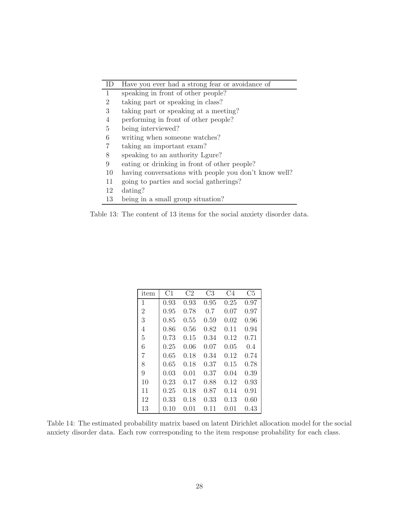| ID           | Have you ever had a strong fear or avoidance of       |
|--------------|-------------------------------------------------------|
| $\mathbf{1}$ | speaking in front of other people?                    |
| 2            | taking part or speaking in class?                     |
| 3            | taking part or speaking at a meeting?                 |
| 4            | performing in front of other people?                  |
| 5            | being interviewed?                                    |
| 6            | writing when someone watches?                         |
|              | taking an important exam?                             |
| 8            | speaking to an authority Lgure?                       |
| 9            | eating or drinking in front of other people?          |
| 10           | having conversations with people you don't know well? |
| 11           | going to parties and social gatherings?               |
| 12           | dating?                                               |
| 13           | being in a small group situation?                     |

<span id="page-27-0"></span>Table 13: The content of 13 items for the social anxiety disorder data.

| item           | C1   | C2   | C <sub>3</sub> | C <sub>4</sub> | C5   |
|----------------|------|------|----------------|----------------|------|
| 1              | 0.93 | 0.93 | 0.95           | 0.25           | 0.97 |
| $\overline{2}$ | 0.95 | 0.78 | 0.7            | 0.07           | 0.97 |
| 3              | 0.85 | 0.55 | 0.59           | 0.02           | 0.96 |
| 4              | 0.86 | 0.56 | 0.82           | 0.11           | 0.94 |
| 5              | 0.73 | 0.15 | 0.34           | 0.12           | 0.71 |
| 6              | 0.25 | 0.06 | 0.07           | 0.05           | 0.4  |
| 7              | 0.65 | 0.18 | 0.34           | 0.12           | 0.74 |
| 8              | 0.65 | 0.18 | 0.37           | 0.15           | 0.78 |
| 9              | 0.03 | 0.01 | 0.37           | 0.04           | 0.39 |
| 10             | 0.23 | 0.17 | 0.88           | 0.12           | 0.93 |
| 11             | 0.25 | 0.18 | 0.87           | 0.14           | 0.91 |
| 12             | 0.33 | 0.18 | 0.33           | 0.13           | 0.60 |
| 13             | 0.10 | 0.01 | 0.11           | 0.01           | 0.43 |

<span id="page-27-1"></span>Table 14: The estimated probability matrix based on latent Dirichlet allocation model for the social anxiety disorder data. Each row corresponding to the item response probability for each class.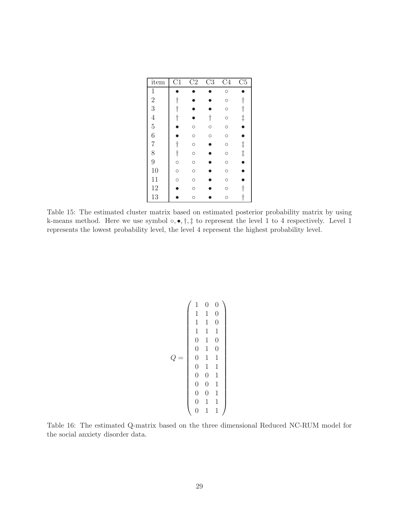| item           | $\overline{\text{C1}}$ | $\overline{\text{C2}}$ | $\overline{\text{C3}}$ | $\overline{C4}$ | $\overline{\text{C5}}$ |
|----------------|------------------------|------------------------|------------------------|-----------------|------------------------|
| 1              |                        |                        |                        | $\circ$         |                        |
| $\overline{2}$ | $\dagger$              |                        |                        | $\circ$         | t                      |
| 3              | t                      |                        |                        | $\circ$         | $\dagger$              |
| $\overline{4}$ | $\dagger$              |                        | $\dagger$              | $\circ$         | $\frac{1}{\bullet}$    |
| $\overline{5}$ |                        | $\circ$                | O                      | O               |                        |
| 6              |                        | $\circ$                | $\circ$                | $\circ$         |                        |
| $\overline{7}$ | $\dagger$              | $\circ$                |                        | $\circ$         |                        |
| 8              | $\dagger$              | $\circ$                |                        | $\circ$         | $\ddagger$             |
| 9              | $\circ$                | $\circ$                |                        | $\circ$         | ė                      |
| 10             | $\circ$                | $\circ$                |                        | $\circ$         |                        |
| 11             | $\circ$                | $\circ$                |                        | $\circ$         |                        |
| 12             |                        | $\circ$                |                        | $\circ$         |                        |
| 13             |                        | O                      |                        | O               |                        |

<span id="page-28-0"></span>Table 15: The estimated cluster matrix based on estimated posterior probability matrix by using k-means method. Here we use symbol  $\circ$ ,  $\bullet$ ,  $\dagger$ ,  $\dagger$  to represent the level 1 to 4 respectively. Level 1 represents the lowest probability level, the level 4 represent the highest probability level.

$$
Q = \left(\begin{array}{cccc} 1 & 0 & 0 \\ 1 & 1 & 0 \\ 1 & 1 & 0 \\ 1 & 1 & 1 \\ 0 & 1 & 0 \\ 0 & 1 & 0 \\ 0 & 1 & 1 \\ 0 & 0 & 1 \\ 0 & 0 & 1 \\ 0 & 0 & 1 \\ 0 & 1 & 1 \\ 0 & 1 & 1 \\ 0 & 1 & 1 \\ 0 & 1 & 1 \\ 0 & 1 & 1 \\ \end{array}\right)
$$

<span id="page-28-1"></span>Table 16: The estimated Q-matrix based on the three dimensional Reduced NC-RUM model for the social anxiety disorder data.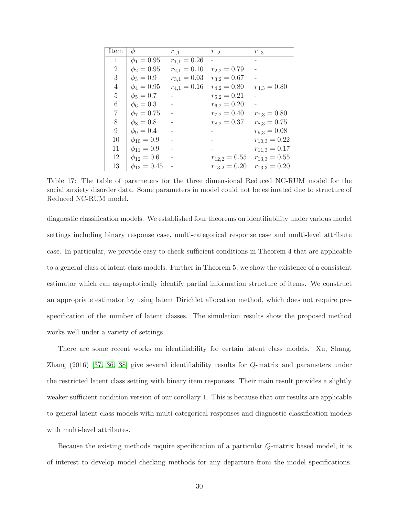| Item           | φ.                 | $r_{\cdot,1}$    | $r_{\cdot,2}$    | $r_{\cdot,3}$     |
|----------------|--------------------|------------------|------------------|-------------------|
| $\mathbf{1}$   | $\phi_1 = 0.95$    | $r_{1,1} = 0.26$ |                  |                   |
| $\overline{2}$ | $\phi_2 = 0.95$    | $r_{2,1} = 0.10$ | $r_{2,2}=0.79$   |                   |
| 3              | $\phi_3 = 0.9$     | $r_{3,1} = 0.03$ | $r_{3,2}=0.67$   |                   |
| 4              | $\phi_4 = 0.95$    | $r_{4,1} = 0.16$ | $r_{4,2}=0.80$   | $r_{4,3} = 0.80$  |
| $\overline{5}$ | $\phi_5 = 0.7$     |                  | $r_{5,2}=0.21$   |                   |
| 6              | $\phi_6 = 0.3$     |                  | $r_{6,2}=0.20$   |                   |
| 7              | $\phi_7 = 0.75$    |                  | $r_{7,2} = 0.40$ | $r_{7,3} = 0.80$  |
| 8              | $\phi_8 = 0.8$     |                  | $r_{8,2}=0.37$   | $r_{8,3} = 0.75$  |
| 9              | $\phi_9 = 0.4$     |                  |                  | $r_{9,3} = 0.08$  |
| 10             | $\phi_{10} = 0.9$  |                  |                  | $r_{10,3} = 0.22$ |
| 11             | $\phi_{11} = 0.9$  |                  |                  | $r_{11,3} = 0.17$ |
| 12             | $\phi_{12} = 0.6$  |                  | $r_{12,2}=0.55$  | $r_{13,3} = 0.55$ |
| 13             | $\phi_{13} = 0.45$ |                  | $r_{13,2}=0.20$  | $r_{13,3} = 0.20$ |

<span id="page-29-0"></span>Table 17: The table of parameters for the three dimensional Reduced NC-RUM model for the social anxiety disorder data. Some parameters in model could not be estimated due to structure of Reduced NC-RUM model.

diagnostic classification models. We established four theorems on identifiability under various model settings including binary response case, multi-categorical response case and multi-level attribute case. In particular, we provide easy-to-check sufficient conditions in Theorem 4 that are applicable to a general class of latent class models. Further in Theorem 5, we show the existence of a consistent estimator which can asymptotically identify partial information structure of items. We construct an appropriate estimator by using latent Dirichlet allocation method, which does not require prespecification of the number of latent classes. The simulation results show the proposed method works well under a variety of settings.

There are some recent works on identifiability for certain latent class models. Xu, Shang, Zhang (2016) [\[37,](#page-33-5) [36,](#page-33-6) [38\]](#page-33-7) give several identifiability results for Q-matrix and parameters under the restricted latent class setting with binary item responses. Their main result provides a slightly weaker sufficient condition version of our corollary 1. This is because that our results are applicable to general latent class models with multi-categorical responses and diagnostic classification models with multi-level attributes.

Because the existing methods require specification of a particular Q-matrix based model, it is of interest to develop model checking methods for any departure from the model specifications.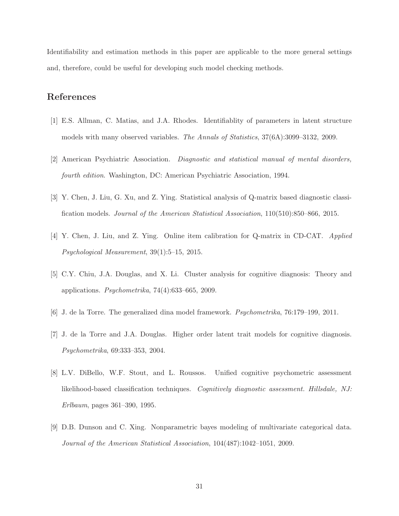Identifiability and estimation methods in this paper are applicable to the more general settings and, therefore, could be useful for developing such model checking methods.

# <span id="page-30-6"></span>References

- <span id="page-30-8"></span>[1] E.S. Allman, C. Matias, and J.A. Rhodes. Identifiablity of parameters in latent structure models with many observed variables. *The Annals of Statistics*, 37(6A):3099–3132, 2009.
- <span id="page-30-4"></span>[2] American Psychiatric Association. *Diagnostic and statistical manual of mental disorders, fourth edition*. Washington, DC: American Psychiatric Association, 1994.
- <span id="page-30-5"></span>[3] Y. Chen, J. Liu, G. Xu, and Z. Ying. Statistical analysis of Q-matrix based diagnostic classification models. *Journal of the American Statistical Association*, 110(510):850–866, 2015.
- <span id="page-30-2"></span>[4] Y. Chen, J. Liu, and Z. Ying. Online item calibration for Q-matrix in CD-CAT. *Applied Psychological Measurement*, 39(1):5–15, 2015.
- <span id="page-30-3"></span>[5] C.Y. Chiu, J.A. Douglas, and X. Li. Cluster analysis for cognitive diagnosis: Theory and applications. *Psychometrika*, 74(4):633–665, 2009.
- <span id="page-30-1"></span>[6] J. de la Torre. The generalized dina model framework. *Psychometrika*, 76:179–199, 2011.
- <span id="page-30-0"></span>[7] J. de la Torre and J.A. Douglas. Higher order latent trait models for cognitive diagnosis. *Psychometrika*, 69:333–353, 2004.
- [8] L.V. DiBello, W.F. Stout, and L. Roussos. Unified cognitive psychometric assessment likelihood-based classification techniques. *Cognitively diagnostic assessment. Hillsdale, NJ: Erlbaum*, pages 361–390, 1995.
- <span id="page-30-7"></span>[9] D.B. Dunson and C. Xing. Nonparametric bayes modeling of multivariate categorical data. *Journal of the American Statistical Association*, 104(487):1042–1051, 2009.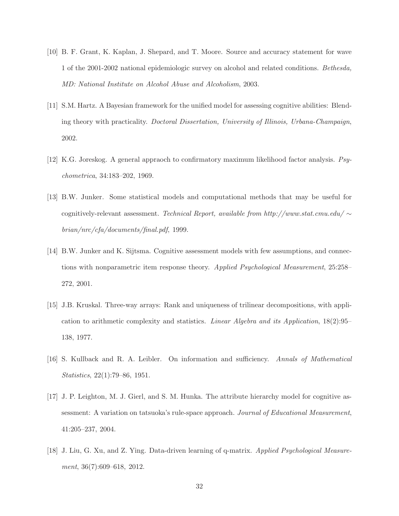- <span id="page-31-8"></span><span id="page-31-0"></span>[10] B. F. Grant, K. Kaplan, J. Shepard, and T. Moore. Source and accuracy statement for wave 1 of the 2001-2002 national epidemiologic survey on alcohol and related conditions. *Bethesda, MD: National Institute on Alcohol Abuse and Alcoholism*, 2003.
- <span id="page-31-5"></span>[11] S.M. Hartz. A Bayesian framework for the unified model for assessing cognitive abilities: Blending theory with practicality. *Doctoral Dissertation, University of Illinois, Urbana-Champaign*, 2002.
- <span id="page-31-3"></span>[12] K.G. Joreskog. A general appraoch to confirmatory maximum likelihood factor analysis. *Psychometrica*, 34:183–202, 1969.
- [13] B.W. Junker. Some statistical models and computational methods that may be useful for cognitively-relevant assessment. *Technical Report, available from http://www.stat.cmu.edu/* ∼ *brian/nrc/cfa/documents/final.pdf*, 1999.
- <span id="page-31-6"></span><span id="page-31-1"></span>[14] B.W. Junker and K. Sijtsma. Cognitive assessment models with few assumptions, and connections with nonparametric item response theory. *Applied Psychological Measurement*, 25:258– 272, 2001.
- [15] J.B. Kruskal. Three-way arrays: Rank and uniqueness of trilinear decompositions, with application to arithmetic complexity and statistics. *Linear Algebra and its Application*, 18(2):95– 138, 1977.
- <span id="page-31-7"></span><span id="page-31-2"></span>[16] S. Kullback and R. A. Leibler. On information and sufficiency. *Annals of Mathematical Statistics*, 22(1):79–86, 1951.
- [17] J. P. Leighton, M. J. Gierl, and S. M. Hunka. The attribute hierarchy model for cognitive assessment: A variation on tatsuoka's rule-space approach. *Journal of Educational Measurement*, 41:205–237, 2004.
- <span id="page-31-4"></span>[18] J. Liu, G. Xu, and Z. Ying. Data-driven learning of q-matrix. *Applied Psychological Measurement*, 36(7):609–618, 2012.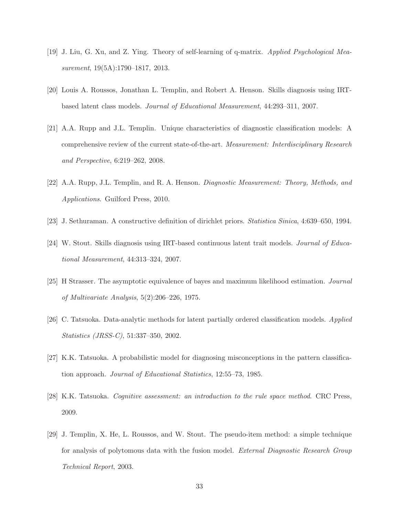- <span id="page-32-8"></span><span id="page-32-6"></span>[19] J. Liu, G. Xu, and Z. Ying. Theory of self-learning of q-matrix. *Applied Psychological Measurement*, 19(5A):1790–1817, 2013.
- <span id="page-32-5"></span>[20] Louis A. Roussos, Jonathan L. Templin, and Robert A. Henson. Skills diagnosis using IRTbased latent class models. *Journal of Educational Measurement*, 44:293–311, 2007.
- <span id="page-32-4"></span>[21] A.A. Rupp and J.L. Templin. Unique characteristics of diagnostic classification models: A comprehensive review of the current state-of-the-art. *Measurement: Interdisciplinary Research and Perspective*, 6:219–262, 2008.
- <span id="page-32-9"></span>[22] A.A. Rupp, J.L. Templin, and R. A. Henson. *Diagnostic Measurement: Theory, Methods, and Applications*. Guilford Press, 2010.
- <span id="page-32-7"></span>[23] J. Sethuraman. A constructive definition of dirichlet priors. *Statistica Sinica*, 4:639–650, 1994.
- <span id="page-32-10"></span>[24] W. Stout. Skills diagnosis using IRT-based continuous latent trait models. *Journal of Educational Measurement*, 44:313–324, 2007.
- <span id="page-32-3"></span>[25] H Strasser. The asymptotic equivalence of bayes and maximum likelihood estimation. *Journal of Multivariate Analysis*, 5(2):206–226, 1975.
- <span id="page-32-0"></span>[26] C. Tatsuoka. Data-analytic methods for latent partially ordered classification models. *Applied Statistics (JRSS-C)*, 51:337–350, 2002.
- <span id="page-32-1"></span>[27] K.K. Tatsuoka. A probabilistic model for diagnosing misconceptions in the pattern classification approach. *Journal of Educational Statistics*, 12:55–73, 1985.
- <span id="page-32-2"></span>[28] K.K. Tatsuoka. *Cognitive assessment: an introduction to the rule space method*. CRC Press, 2009.
- [29] J. Templin, X. He, L. Roussos, and W. Stout. The pseudo-item method: a simple technique for analysis of polytomous data with the fusion model. *External Diagnostic Research Group Technical Report*, 2003.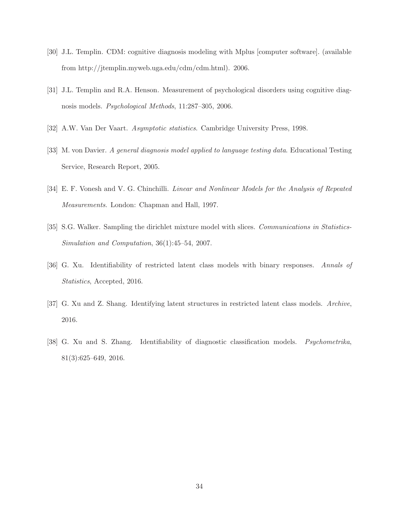- <span id="page-33-1"></span><span id="page-33-0"></span>[30] J.L. Templin. CDM: cognitive diagnosis modeling with Mplus [computer software]. (available from http://jtemplin.myweb.uga.edu/cdm/cdm.html). 2006.
- <span id="page-33-8"></span>[31] J.L. Templin and R.A. Henson. Measurement of psychological disorders using cognitive diagnosis models. *Psychological Methods*, 11:287–305, 2006.
- <span id="page-33-2"></span>[32] A.W. Van Der Vaart. *Asymptotic statistics*. Cambridge University Press, 1998.
- <span id="page-33-3"></span>[33] M. von Davier. *A general diagnosis model applied to language testing data*. Educational Testing Service, Research Report, 2005.
- <span id="page-33-4"></span>[34] E. F. Vonesh and V. G. Chinchilli. *Linear and Nonlinear Models for the Analysis of Repeated Measurements*. London: Chapman and Hall, 1997.
- <span id="page-33-6"></span>[35] S.G. Walker. Sampling the dirichlet mixture model with slices. *Communications in Statistics-Simulation and Computation*, 36(1):45–54, 2007.
- <span id="page-33-5"></span>[36] G. Xu. Identifiability of restricted latent class models with binary responses. *Annals of Statistics*, Accepted, 2016.
- <span id="page-33-7"></span>[37] G. Xu and Z. Shang. Identifying latent structures in restricted latent class models. *Archive*, 2016.
- [38] G. Xu and S. Zhang. Identifiability of diagnostic classification models. *Psychometrika*, 81(3):625–649, 2016.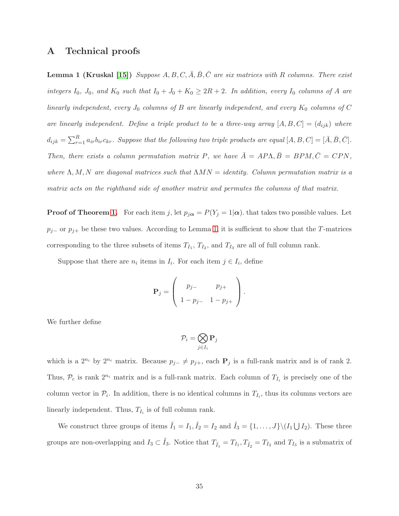# <span id="page-34-0"></span>A Technical proofs

**Lemma 1 (Kruskal [\[15\]](#page-31-6))** *Suppose*  $A, B, C, \overline{A}, \overline{B}, \overline{C}$  *are six matrices with* R *columns. There exist integers*  $I_0$ ,  $J_0$ , and  $K_0$  *such that*  $I_0 + J_0 + K_0 \geq 2R + 2$ . In addition, every  $I_0$  *columns of* A are *linearly independent, every*  $J_0$  *columns of*  $B$  *are linearly independent, and every*  $K_0$  *columns of*  $C$ *are linearly independent. Define a triple product to be a three-way array*  $[A, B, C] = (d_{ijk})$  *where*  $d_{ijk} = \sum_{r=1}^{R} a_{ir} b_{ir} c_{kr}$ *. Suppose that the following two triple products are equal*  $[A, B, C] = [\bar{A}, \bar{B}, \bar{C}]$ *. Then, there exists a column permutation matrix* P, we have  $\overline{A} = AP\Lambda, \overline{B} = BPM, \overline{C} = CPN$ , *where* Λ, M, N *are diagonal matrices such that* ΛMN = *identity. Column permutation matrix is a matrix acts on the righthand side of another matrix and permutes the columns of that matrix.*

**Proof of Theorem [1.](#page-9-1)** For each item j, let  $p_{j\alpha} = P(Y_j = 1 | \alpha)$ . that takes two possible values. Let  $p_{j-}$  or  $p_{j+}$  be these two values. According to Lemma [1,](#page-34-0) it is sufficient to show that the T-matrices corresponding to the three subsets of items  $T_{I_1}$ ,  $T_{I_2}$ , and  $T_{I_3}$  are all of full column rank.

Suppose that there are  $n_i$  items in  $I_i$ . For each item  $j \in I_i$ , define

$$
\mathbf{P}_{j} = \left( \begin{array}{cc} p_{j-} & p_{j+} \\ 1 - p_{j-} & 1 - p_{j+} \end{array} \right).
$$

We further define

$$
\mathcal{P}_i = \bigotimes_{j \in I_i} \mathbf{P}_j
$$

which is a  $2^{n_i}$  by  $2^{n_i}$  matrix. Because  $p_{j-} \neq p_{j+}$ , each  $P_j$  is a full-rank matrix and is of rank 2. Thus,  $\mathcal{P}_c$  is rank  $2^{n_i}$  matrix and is a full-rank matrix. Each column of  $T_{I_i}$  is precisely one of the column vector in  $\mathcal{P}_i$ . In addition, there is no identical columns in  $T_{I_i}$ , thus its columns vectors are linearly independent. Thus,  $T_{I_i}$  is of full column rank.

We construct three groups of items  $\tilde{I}_1 = I_1$ ,  $\tilde{I}_2 = I_2$  and  $\tilde{I}_3 = \{1, ..., J\} \setminus (I_1 \cup I_2)$ . These three groups are non-overlapping and  $I_3 \subset \tilde{I}_3$ . Notice that  $T_{\tilde{I}_1} = T_{I_1}, T_{\tilde{I}_2} = T_{I_2}$  and  $T_{I_3}$  is a submatrix of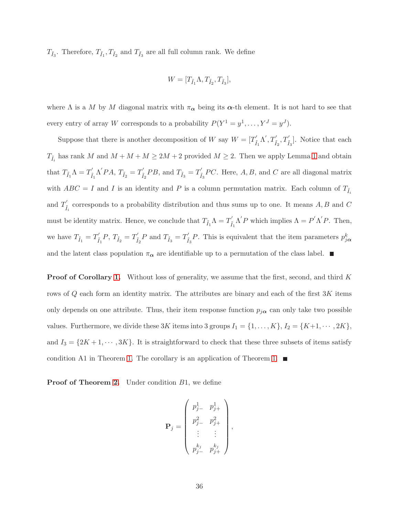$T_{\tilde{I}_3}$ . Therefore,  $T_{\tilde{I}_1}, T_{\tilde{I}_2}$  and  $T_{\tilde{I}_3}$  are all full column rank. We define

$$
W = [T_{\tilde{I}_1} \Lambda, T_{\tilde{I}_2}, T_{\tilde{I}_3}],
$$

where  $\Lambda$  is a M by M diagonal matrix with  $\pi_{\alpha}$  being its  $\alpha$ -th element. It is not hard to see that every entry of array W corresponds to a probability  $P(Y^1 = y^1, \ldots, Y^J = y^J)$ .

Suppose that there is another decomposition of W say  $W = [T'_i]$  $T_{\tilde{I}_1} \Lambda', T'_{\tilde{I}_2}, T'_{\tilde{I}_3}$ . Notice that each  $T_{\tilde{I}_i}$  has rank M and  $M + M + M \ge 2M + 2$  provided  $M \ge 2$ . Then we apply Lemma [1](#page-34-0) and obtain that  $T_{\tilde{I}_1} \Lambda = T'_{\tilde{I}}$  $\tilde{I}_1^{\prime} \Lambda^{\prime} PA, T_{\tilde{I}_2} = T_{\tilde{I}}^{\prime}$  $I_{\tilde{I}_2}^{'P}BB$ , and  $T_{\tilde{I}_3} = T_{\tilde{I}}^{'}$  $\int_{\tilde{I}_3}$  PC. Here, A, B, and C are all diagonal matrix with  $ABC = I$  and I is an identity and P is a column permutation matrix. Each column of  $T_{\tilde{I}_i}$ and  $T_i'$  $\tilde{I}_i$  corresponds to a probability distribution and thus sums up to one. It means  $A, B$  and  $C$ must be identity matrix. Hence, we conclude that  $T_{\tilde{I}_1}\Lambda=T_{\tilde{I}}'$  $\tilde{I}_1 \Lambda' P$  which implies  $\Lambda = P' \Lambda' P$ . Then, we have  $T_{\tilde{I}_1} = T_{\tilde{I}}'$  $T_{\tilde{I}_1}^{'P}$ ,  $T_{\tilde{I}_2} = T_{\tilde{I}}^{'P}$  $I_{\tilde{I}_2}^{'P} P$  and  $T_{\tilde{I}_3} = T_{\tilde{I}}'$  $\tilde{I}_3^{'P}$ . This is equivalent that the item parameters  $p_{j\alpha}^k$ and the latent class population  $\pi_{\alpha}$  are identifiable up to a permutation of the class label.

**Proof of Corollary [1.](#page-10-0)** Without loss of generality, we assume that the first, second, and third K rows of  $Q$  each form an identity matrix. The attributes are binary and each of the first  $3K$  items only depends on one attribute. Thus, their item response function  $p_{j\alpha}$  can only take two possible values. Furthermore, we divide these 3K items into 3 groups  $I_1 = \{1, ..., K\}$ ,  $I_2 = \{K+1, ..., 2K\}$ , and  $I_3 = \{2K + 1, \dots, 3K\}$ . It is straightforward to check that these three subsets of items satisfy condition A1 in Theorem [1.](#page-9-1) The corollary is an application of Theorem 1.  $\blacksquare$ 

**Proof of Theorem [2.](#page-11-0)** Under condition  $B1$ , we define

$$
\mathbf{P}_{j} = \begin{pmatrix} p_{j-}^{1} & p_{j+}^{1} \\ p_{j-}^{2} & p_{j+}^{2} \\ \vdots & \vdots \\ p_{j-}^{k_{j}} & p_{j+}^{k_{j}} \end{pmatrix},
$$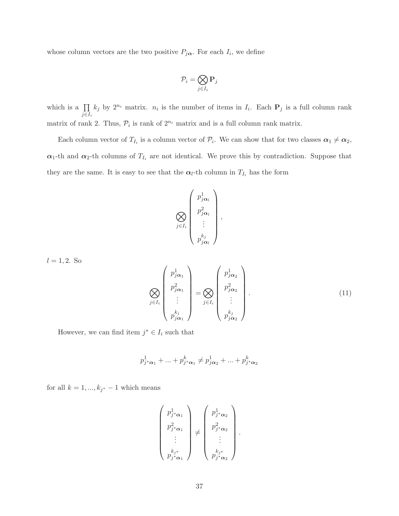whose column vectors are the two positive  $P_{j\alpha}$ . For each  $I_i$ , we define

$$
\mathcal{P}_i = \bigotimes_{j \in I_i} \mathbf{P}_j
$$

which is a  $\prod$  $j \in I_i$  $k_j$  by  $2^{n_i}$  matrix.  $n_i$  is the number of items in  $I_i$ . Each  $P_j$  is a full column rank matrix of rank 2. Thus,  $P_i$  is rank of  $2^{n_i}$  matrix and is a full column rank matrix.

Each column vector of  $T_{I_i}$  is a column vector of  $\mathcal{P}_i$ . We can show that for two classes  $\alpha_1 \neq \alpha_2$ ,  $\alpha_1$ -th and  $\alpha_2$ -th columns of  $T_{I_i}$  are not identical. We prove this by contradiction. Suppose that they are the same. It is easy to see that the  $\alpha_l$ -th column in  $T_{I_i}$  has the form

$$
\bigotimes_{j\in I_i}\begin{pmatrix}p_{j\alpha_l}^1\\p_{j\alpha_l}^2\\\vdots\\p_{j\alpha_l}^{k_j}\end{pmatrix},
$$

 $l = 1, 2$ . So

<span id="page-36-0"></span>
$$
\bigotimes_{j\in I_i}\begin{pmatrix}p_{j\alpha_1}^1\\p_{j\alpha_1}^2\\ \vdots\\p_{j\alpha_1}^{k_j} \end{pmatrix} = \bigotimes_{j\in I_i}\begin{pmatrix}p_{j\alpha_2}^1\\p_{j\alpha_2}^2\\ \vdots\\p_{j\alpha_2}^{k_j} \end{pmatrix}.
$$
\n(11)

However, we can find item  $j^* \in I_i$  such that

$$
p_{j^*\pmb{\alpha}_1}^1 + \ldots + p_{j^*\pmb{\alpha}_1}^k \neq p_{j\pmb{\alpha}_2}^1 + \ldots + p_{j^*\pmb{\alpha}_2}^k
$$

for all  $k = 1, ..., k_{j^*} - 1$  which means

$$
\begin{pmatrix} p_{j^*\alpha_1}^1 \\ p_{j^*\alpha_1}^2 \\ \vdots \\ p_{j^*\alpha_1}^{k_{j^*}} \end{pmatrix} \neq \begin{pmatrix} p_{j^*\alpha_2}^1 \\ p_{j^*\alpha_2}^2 \\ \vdots \\ p_{j^*\alpha_2}^{k_{j^*}} \end{pmatrix}.
$$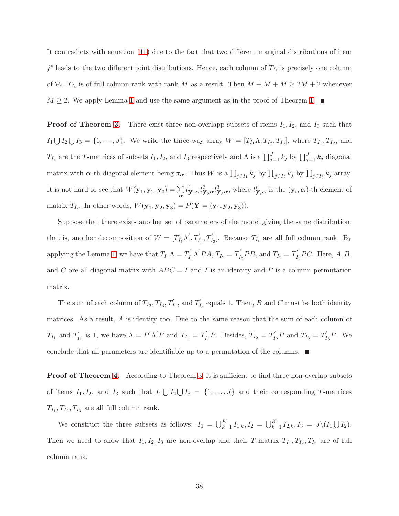It contradicts with equation [\(11\)](#page-36-0) due to the fact that two different marginal distributions of item  $j^*$  leads to the two different joint distributions. Hence, each column of  $T_{I_i}$  is precisely one column of  $P_i$ .  $T_{I_i}$  is of full column rank with rank M as a result. Then  $M + M + M \ge 2M + 2$  whenever  $M \geq 2$ . We apply Lemma [1](#page-34-0) and use the same argument as in the proof of Theorem [1.](#page-9-1)

**Proof of Theorem [3.](#page-12-0)** There exist three non-overlapp subsets of items  $I_1$ ,  $I_2$ , and  $I_3$  such that  $I_1 \bigcup I_2 \bigcup I_3 = \{1, \ldots, J\}$ . We write the three-way array  $W = [T_{I_1} \Lambda, T_{I_2}, T_{I_3}]$ , where  $T_{I_1}, T_{I_2}$ , and  $T_{I_3}$  are the T-matrices of subsets  $I_1, I_2$ , and  $I_3$  respectively and  $\Lambda$  is a  $\prod_{j=1}^J k_j$  by  $\prod_{j=1}^J k_j$  diagonal matrix with  $\alpha$ -th diagonal element being  $\pi_{\alpha}$ . Thus W is a  $\prod_{j\in I_1} k_j$  by  $\prod_{j\in I_2} k_j$  by  $\prod_{j\in I_3} k_j$  array. It is not hard to see that  $W(\mathbf{y}_1, \mathbf{y}_2, \mathbf{y}_3) = \sum_{\alpha} t_{\mathbf{y}_1 \alpha}^1 t_{\mathbf{y}_2 \alpha}^2 t_{\mathbf{y}_3 \alpha}^3$ , where  $t_{\mathbf{y}_i \alpha}^i$  is the  $(\mathbf{y}_i, \alpha)$ -th element of matrix  $T_{I_i}$ . In other words,  $W(\mathbf{y}_1, \mathbf{y}_2, \mathbf{y}_3) = P(\mathbf{Y} = (\mathbf{y}_1, \mathbf{y}_2, \mathbf{y}_3)).$ 

Suppose that there exists another set of parameters of the model giving the same distribution; that is, another decomposition of  $W = [T]$  $T_{I_1} \Lambda', T_{I_2}, T_{I_3}'$ ]. Because  $T_{I_i}$  are all full column rank. By applying the Lemma [1,](#page-34-0) we have that  $T_{I_1}\Lambda = T_I'$  $T_{I_1}^{\prime} \Lambda^{\prime} PA, T_{I_2} = T_I^{\prime}$  $T'_{I_2}PB$ , and  $T_{I_3} = T'_I$  $I_3$ PC. Here,  $A, B$ , and C are all diagonal matrix with  $ABC = I$  and I is an identity and P is a column permutation matrix.

The sum of each column of  $T_{I_2}, T_{I_3}, T_{I_2}^{\prime}$  , and  $T_I^{\prime}$  $I<sub>13</sub>$  equals 1. Then, B and C must be both identity matrices. As a result, A is identity too. Due to the same reason that the sum of each column of  $T_{I_1}$  and  $T_I'$  $I'_{I_1}$  is 1, we have  $\Lambda = P' \Lambda' P$  and  $T_{I_1} = T'_I$  $T_{I_1}P$ . Besides,  $T_{I_2}=T_I'$  $T_{I_2}P$  and  $T_{I_3}=T_I'$  $I_3^{\prime}P$ . We conclude that all parameters are identifiable up to a permutation of the columns.

Proof of Theorem [4.](#page-12-1) According to Theorem [3,](#page-12-0) it is sufficient to find three non-overlap subsets of items  $I_1, I_2$ , and  $I_3$  such that  $I_1 \bigcup I_2 \bigcup I_3 = \{1, ..., J\}$  and their corresponding T-matrices  $T_{I_1}, T_{I_2}, T_{I_3}$  are all full column rank.

We construct the three subsets as follows:  $I_1 = \bigcup_{k=1}^K I_{1,k}, I_2 = \bigcup_{k=1}^K I_{2,k}, I_3 = J \setminus (I_1 \bigcup I_2).$ Then we need to show that  $I_1, I_2, I_3$  are non-overlap and their T-matrix  $T_{I_1}, T_{I_2}, T_{I_3}$  are of full column rank.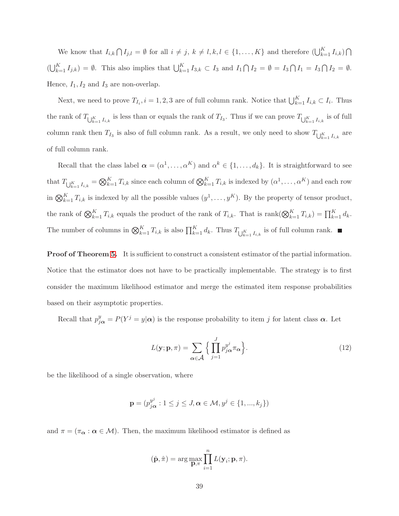We know that  $I_{i,k} \bigcap I_{j,l} = \emptyset$  for all  $i \neq j$ ,  $k \neq l, k, l \in \{1, ..., K\}$  and therefore  $(\bigcup_{k=1}^{K} I_{i,k}) \bigcap I_{j,l}$  $\left(\bigcup_{k=1}^K I_{j,k}\right) = \emptyset$ . This also implies that  $\bigcup_{k=1}^K I_{3,k} \subset I_3$  and  $I_1 \cap I_2 = \emptyset = I_3 \cap I_1 = I_3 \cap I_2 = \emptyset$ . Hence,  $I_1, I_2$  and  $I_3$  are non-overlap.

Next, we need to prove  $T_{I_i}$ ,  $i = 1, 2, 3$  are of full column rank. Notice that  $\bigcup_{k=1}^{K} I_{i,k} \subset I_i$ . Thus the rank of  $T_{\bigcup_{k=1}^K I_{i,k}}$  is less than or equals the rank of  $T_{I_3}$ . Thus if we can prove  $T_{\bigcup_{k=1}^K I_{i,k}}$  is of full column rank then  $T_{I_3}$  is also of full column rank. As a result, we only need to show  $T_{\bigcup_{k=1}^K I_{i,k}}$  are of full column rank.

Recall that the class label  $\boldsymbol{\alpha} = (\alpha^1, \dots, \alpha^K)$  and  $\alpha^k \in \{1, \dots, d_k\}$ . It is straightforward to see that  $T_{\bigcup_{k=1}^K I_{i,k}} = \bigotimes_{k=1}^K T_{i,k}$  since each column of  $\bigotimes_{k=1}^K T_{i,k}$  is indexed by  $(\alpha^1, \dots, \alpha^K)$  and each row in  $\bigotimes_{k=1}^K T_{i,k}$  is indexed by all the possible values  $(y^1, \ldots, y^K)$ . By the property of tensor product, the rank of  $\bigotimes_{k=1}^{K} T_{i,k}$  equals the product of the rank of  $T_{i,k}$ . That is rank $(\bigotimes_{k=1}^{K} T_{i,k}) = \prod_{k=1}^{K} d_k$ . The number of columns in  $\bigotimes_{k=1}^{K} T_{i,k}$  is also  $\prod_{k=1}^{K} d_k$ . Thus  $T_{\bigcup_{k=1}^{K} I_{i,k}}$  is of full column rank.

Proof of Theorem [5.](#page-14-0) It is sufficient to construct a consistent estimator of the partial information. Notice that the estimator does not have to be practically implementable. The strategy is to first consider the maximum likelihood estimator and merge the estimated item response probabilities based on their asymptotic properties.

Recall that  $p_{j\alpha}^y = P(Y^j = y | \alpha)$  is the response probability to item j for latent class  $\alpha$ . Let

$$
L(\mathbf{y}; \mathbf{p}, \pi) = \sum_{\alpha \in \mathcal{A}} \Big\{ \prod_{j=1}^{J} p_{j\alpha}^{y^j} \pi_{\alpha} \Big\}.
$$
 (12)

be the likelihood of a single observation, where

$$
\mathbf{p} = (p_{j\alpha}^{y^j} : 1 \leq j \leq J, \alpha \in \mathcal{M}, y^j \in \{1, ..., k_j\})
$$

and  $\pi = (\pi_{\alpha} : \alpha \in \mathcal{M})$ . Then, the maximum likelihood estimator is defined as

$$
(\hat{\mathbf{p}}, \hat{\pi}) = \arg \max_{\mathbf{p}, \pi} \prod_{i=1}^{n} L(\mathbf{y}_i; \mathbf{p}, \pi).
$$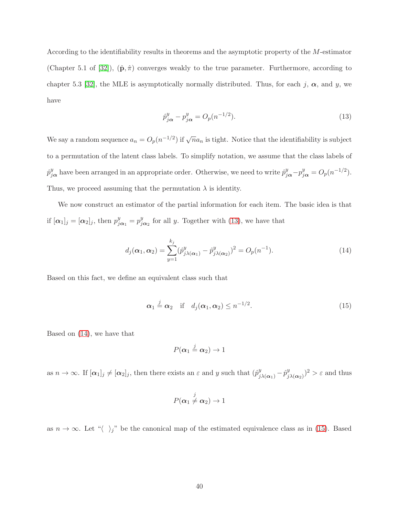According to the identifiability results in theorems and the asymptotic property of the M-estimator (Chapter 5.1 of [\[32\]](#page-33-8)),  $(\hat{\mathbf{p}}, \hat{\pi})$  converges weakly to the true parameter. Furthermore, according to chapter 5.3 [\[32\]](#page-33-8), the MLE is asymptotically normally distributed. Thus, for each j,  $\alpha$ , and y, we have

<span id="page-39-0"></span>
$$
\hat{p}_{j\alpha}^y - p_{j\alpha}^y = O_p(n^{-1/2}).\tag{13}
$$

We say a random sequence  $a_n = O_p(n^{-1/2})$  if  $\sqrt{n}a_n$  is tight. Notice that the identifiability is subject to a permutation of the latent class labels. To simplify notation, we assume that the class labels of  $\hat{p}_{j\alpha}^y$  have been arranged in an appropriate order. Otherwise, we need to write  $\hat{p}_{j\alpha}^y - p_{j\alpha}^y = O_p(n^{-1/2})$ . Thus, we proceed assuming that the permutation  $\lambda$  is identity.

We now construct an estimator of the partial information for each item. The basic idea is that if  $[\alpha_1]_j = [\alpha_2]_j$ , then  $p_{j\alpha_1}^y = p_{j\alpha_2}^y$  for all y. Together with [\(13\)](#page-39-0), we have that

<span id="page-39-1"></span>
$$
d_j(\alpha_1, \alpha_2) = \sum_{y=1}^{k_j} (\hat{p}_{j\lambda(\alpha_1)}^y - \hat{p}_{j\lambda(\alpha_2)}^y)^2 = O_p(n^{-1}).
$$
\n(14)

Based on this fact, we define an equivalent class such that

<span id="page-39-2"></span>
$$
\alpha_1 \stackrel{j}{=} \alpha_2 \quad \text{if} \quad d_j(\alpha_1, \alpha_2) \le n^{-1/2}.\tag{15}
$$

Based on [\(14\)](#page-39-1), we have that

$$
P(\alpha_1 \stackrel{j}{=} \alpha_2) \to 1
$$

as  $n \to \infty$ . If  $[\alpha_1]_j \neq [\alpha_2]_j$ , then there exists an  $\varepsilon$  and y such that  $(\hat{p}_{j\lambda(\alpha_1)}^y - \hat{p}_{j\lambda(\alpha_2)}^y)^2 > \varepsilon$  and thus

$$
P(\boldsymbol{\alpha}_1 \neq \boldsymbol{\alpha}_2) \to 1
$$

as  $n \to \infty$ . Let " $\langle \rangle_j$ " be the canonical map of the estimated equivalence class as in [\(15\)](#page-39-2). Based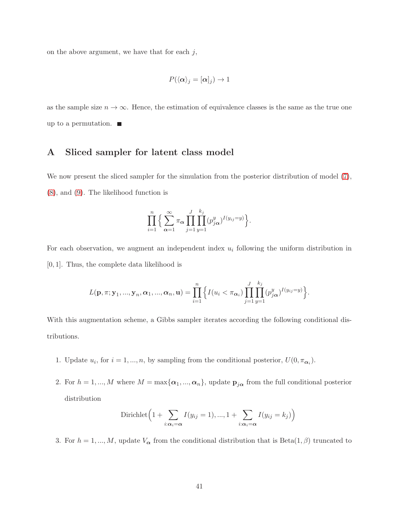on the above argument, we have that for each  $j$ ,

$$
P(\langle \boldsymbol{\alpha} \rangle_j = [\boldsymbol{\alpha}]_j) \to 1
$$

as the sample size  $n \to \infty$ . Hence, the estimation of equivalence classes is the same as the true one up to a permutation.  $\blacksquare$ 

# A Sliced sampler for latent class model

We now present the sliced sampler for the simulation from the posterior distribution of model  $(7)$ , [\(8\)](#page-15-2), and [\(9\)](#page-16-0). The likelihood function is

$$
\prod_{i=1}^n\Big\{\sum_{\alpha=1}^\infty\pi_\alpha\prod_{j=1}^J\prod_{y=1}^{k_j}(p_{j\alpha}^y)^{I(y_{ij}=y)}\Big\}.
$$

For each observation, we augment an independent index  $u_i$  following the uniform distribution in [0, 1]. Thus, the complete data likelihood is

$$
L(\mathbf{p}, \pi; \mathbf{y}_1, ..., \mathbf{y}_n, \alpha_1, ..., \alpha_n, \mathbf{u}) = \prod_{i=1}^n \Big\{ I(u_i < \pi_{\alpha_i}) \prod_{j=1}^J \prod_{y=1}^{k_j} (p_{j\alpha}^y)^{I(y_{ij}=y)} \Big\}.
$$

With this augmentation scheme, a Gibbs sampler iterates according the following conditional distributions.

- 1. Update  $u_i$ , for  $i = 1, ..., n$ , by sampling from the conditional posterior,  $U(0, \pi_{\alpha_i})$ .
- 2. For  $h = 1, ..., M$  where  $M = \max{\{\alpha_1, ..., \alpha_n\}}$ , update  $p_{j\alpha}$  from the full conditional posterior distribution

Dirichlet 
$$
\left(1 + \sum_{i:\alpha_i=\alpha} I(y_{ij}=1),..., 1 + \sum_{i:\alpha_i=\alpha} I(y_{ij}=k_j)\right)
$$

3. For  $h = 1, ..., M$ , update  $V_{\alpha}$  from the conditional distribution that is Beta $(1, \beta)$  truncated to